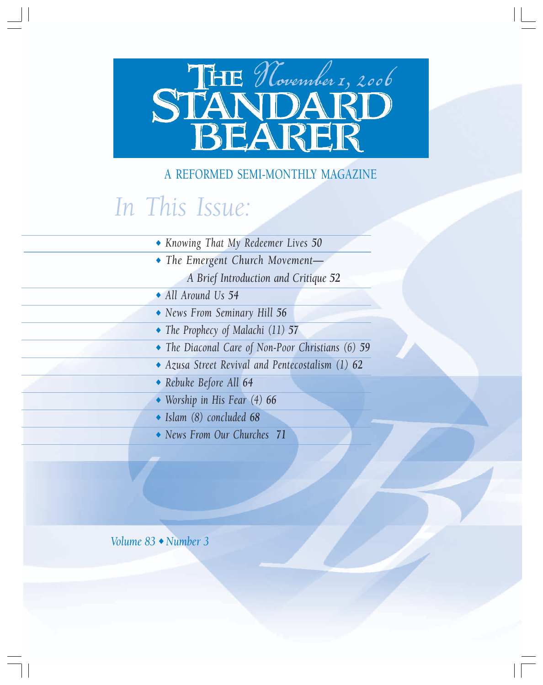# STANDARD

## A REFORMED SEMI-MONTHLY MAGAZINE

# *In This Issue:*

- ◆ *Knowing That My Redeemer Lives 50*
- ◆ *The Emergent Church Movement—*
	- *A Brief Introduction and Critique 52*
- ◆ *All Around Us 54*
- ◆ *News From Seminary Hill 56*
- ◆ *The Prophecy of Malachi (11) 57*
- ◆ *The Diaconal Care of Non-Poor Christians (6) 59*
- ◆ *Azusa Street Revival and Pentecostalism (1) 62*
- ◆ *Rebuke Before All 64*
- ◆ *Worship in His Fear (4) 66*
- ◆ *Islam (8) concluded 68*
- ◆ *News From Our Churches 71*

*Volume 83* ◆ *Number 3*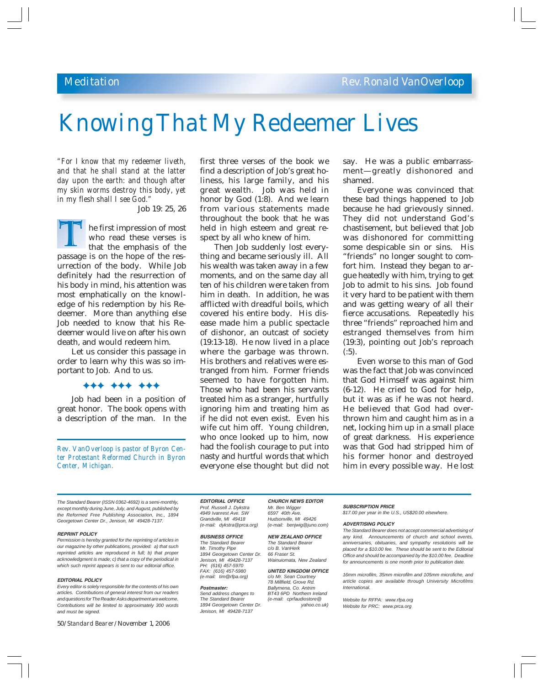# *Knowing That My Redeemer Lives*

*"For I know that my redeemer liveth, and that he shall stand at the latter day upon the earth: and though after my skin worms destroy this body, yet in my flesh shall I see God."*

Job 19: 25, 26

he first impression of most who read these verses is that the emphasis of the The first impression of most<br>who read these verses is<br>that the emphasis of the<br>passage is on the hope of the resurrection of the body. While Job definitely had the resurrection of his body in mind, his attention was most emphatically on the knowledge of his redemption by his Redeemer. More than anything else Job needed to know that his Redeemer would live on after his own death, and would redeem him.

Let us consider this passage in order to learn why this was so important to Job. And to us.

)))))))))

Job had been in a position of great honor. The book opens with a description of the man. In the

*Rev. VanOverloop is pastor of Byron Center Protestant Reformed Church in Byron Center, Michigan.*

first three verses of the book we find a description of Job's great holiness, his large family, and his great wealth. Job was held in honor by God (1:8). And we learn from various statements made throughout the book that he was held in high esteem and great respect by all who knew of him.

Then Job suddenly lost everything and became seriously ill. All his wealth was taken away in a few moments, and on the same day all ten of his children were taken from him in death. In addition, he was afflicted with dreadful boils, which covered his entire body. His disease made him a public spectacle of dishonor, an outcast of society (19:13-18). He now lived in a place where the garbage was thrown. His brothers and relatives were estranged from him. Former friends seemed to have forgotten him. Those who had been his servants treated him as a stranger, hurtfully ignoring him and treating him as if he did not even exist. Even his wife cut him off. Young children, who once looked up to him, now had the foolish courage to put into nasty and hurtful words that which everyone else thought but did not say. He was a public embarrassment—greatly dishonored and shamed.

Everyone was convinced that these bad things happened to Job because he had grievously sinned. They did not understand God's chastisement, but believed that Job was dishonored for committing some despicable sin or sins. His "friends" no longer sought to comfort him. Instead they began to argue heatedly with him, trying to get Job to admit to his sins. Job found it very hard to be patient with them and was getting weary of all their fierce accusations. Repeatedly his three "friends" reproached him and estranged themselves from him (19:3), pointing out Job's reproach  $(.5)$ .

Even worse to this man of God was the fact that Job was convinced that God Himself was against him (6-12). He cried to God for help, but it was as if he was not heard. He believed that God had overthrown him and caught him as in a net, locking him up in a small place of great darkness. His experience was that God had stripped him of his former honor and destroyed him in every possible way. He lost

*The Standard Bearer (ISSN 0362-4692) is a semi-monthly, except monthly during June, July, and August, published by the Reformed Free Publishing Association, Inc., 1894 Georgetown Center Dr., Jenison, MI 49428-7137.*

#### **REPRINT POLICY**

*Permission is hereby granted for the reprinting of articles in our magazine by other publications, provided: a) that such reprinted articles are reproduced in full; b) that proper acknowledgment is made; c) that a copy of the periodical in which such reprint appears is sent to our editorial office.*

#### **EDITORIAL POLICY**

*Every editor is solely responsible for the contents of his own articles. Contributions of general interest from our readers and questions for The Reader Asks department are welcome. Contributions will be limited to approximately 300 words and must be signed.*

50/*Standard Bearer*/November 1, 2006

**EDITORIAL OFFICE CHURCH NEWS EDITOR** *Prof. Russell J. Dykstra Mr. Ben Wigger* 4949 Ivanrest Ave. SW *Grandville, MI 49418 Hudsonville, MI 49426*

*The Standard Bearer The Standard Mr. Timothy Pipe c/o B. VanHere*<br>1894 Georgetown Center Dr. 66 Fraser St. *1894 Georgetown Center Dr.*<br>Jenison, MI 49428-7137 *PH: (616) 457-5970 (e-mail: tim@rfpa.org) c/o Mr. Sean Courtney*

*The Standard Bearer (e-mail: cprfaudiostore@* 1894 Georgetown Center Dr. *Jenison, MI 49428-7137*

*(e-mail: dykstra@prca.org) (e-mail: benjwig@juno.com)*

**BUSINESS OFFICE NEW ZEALAND OFFICE** *The Standard Bearer*<br>*c/o B. VanHerk Wainuiomata, New Zealand* 

**UNITED KINGDOM OFFICE** *78 Millfield, Grove Rd.* **Postmaster:** *Ballymena, Co. Antrim Send address changes to BT43 6PD Northern Ireland*

#### **SUBSCRIPTION PRICE**

*\$17.00 per year in the U.S., US\$20.00 elsewhere.*

#### **ADVERTISING POLICY**

*The Standard Bearer does not accept commercial advertising of any kind. Announcements of church and school events, anniversaries, obituaries, and sympathy resolutions will be placed for a \$10.00 fee. These should be sent to the Editorial Office and should be accompanied by the \$10.00 fee. Deadline for announcements is one month prior to publication date.*

*16mm microfilm, 35mm microfilm and 105mm microfiche, and article copies are available through University Microfilms International.*

*Website for RFPA: www.rfpa.org Website for PRC: www.prca.org*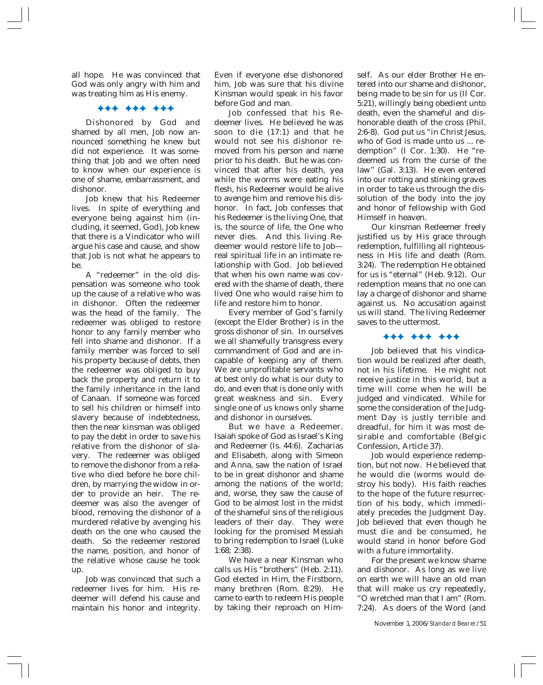all hope. He was convinced that God was only angry with him and was treating him as His enemy.

#### )))))))))

Dishonored by God and shamed by all men, Job now announced something he knew but did not experience. It was something that Job and we often need to know when our experience is one of shame, embarrassment, and dishonor.

Job knew that his Redeemer lives. In spite of everything and everyone being against him (including, it seemed, God), Job knew that there is a Vindicator who will argue his case and cause, and show that Job is not what he appears to be.

A "redeemer" in the old dispensation was someone who took up the cause of a relative who was in dishonor. Often the redeemer was the head of the family. The redeemer was obliged to restore honor to any family member who fell into shame and dishonor. If a family member was forced to sell his property because of debts, then the redeemer was obliged to buy back the property and return it to the family inheritance in the land of Canaan. If someone was forced to sell his children or himself into slavery because of indebtedness, then the near kinsman was obliged to pay the debt in order to save his relative from the dishonor of slavery. The redeemer was obliged to remove the dishonor from a relative who died before he bore children, by marrying the widow in order to provide an heir. The redeemer was also the avenger of blood, removing the dishonor of a murdered relative by avenging his death on the one who caused the death. So the redeemer restored the name, position, and honor of the relative whose cause he took up.

Job was convinced that such a redeemer lives for him. His redeemer will defend his cause and maintain his honor and integrity.

Even if everyone else dishonored him, Job was sure that his divine Kinsman would speak in his favor before God and man.

Job confessed that his Redeemer lives. He believed he was soon to die (17:1) and that he would not see his dishonor removed from his person and name prior to his death. But he was convinced that after his death, yea while the worms were eating his flesh, his Redeemer would be alive to avenge him and remove his dishonor. In fact, Job confesses that his Redeemer is the living One, that is, the source of life, the One who never dies. And this living Redeemer would restore life to Job real spiritual life in an intimate relationship with God. Job believed that when his own name was covered with the shame of death, there lived One who would raise him to life and restore him to honor.

Every member of God's family (except the Elder Brother) is in the gross dishonor of sin. In ourselves we all shamefully transgress every commandment of God and are incapable of keeping any of them. We are unprofitable servants who at best only do what is our duty to do, and even that is done only with great weakness and sin. Every single one of us knows only shame and dishonor in ourselves.

But we have a Redeemer. Isaiah spoke of God as Israel's King and Redeemer (Is. 44:6). Zacharias and Elisabeth, along with Simeon and Anna, saw the nation of Israel to be in great dishonor and shame among the nations of the world; and, worse, they saw the cause of God to be almost lost in the midst of the shameful sins of the religious leaders of their day. They were looking for the promised Messiah to bring redemption to Israel (Luke 1:68; 2:38).

We have a near Kinsman who calls us His "brothers" (Heb. 2:11). God elected in Him, the Firstborn, many brethren (Rom. 8:29). He came to earth to redeem His people by taking their reproach on Himself. As our elder Brother He entered into our shame and dishonor, being made to be sin for us (II Cor. 5:21), willingly being obedient unto death, even the shameful and dishonorable death of the cross (Phil. 2:6-8). God put us "in Christ Jesus, who of God is made unto us ... redemption" (I Cor. 1:30). He "redeemed us from the curse of the law" (Gal. 3:13). He even entered into our rotting and stinking graves in order to take us through the dissolution of the body into the joy and honor of fellowship with God Himself in heaven.

Our kinsman Redeemer freely justified us by His grace through redemption, fulfilling all righteousness in His life and death (Rom. 3:24). The redemption He obtained for us is "eternal" (Heb. 9:12). Our redemption means that no one can lay a charge of dishonor and shame against us. No accusation against us will stand. The living Redeemer saves to the uttermost.

#### )))))))))

Job believed that his vindication would be realized after death, not in his lifetime. He might not receive justice in this world, but a time will come when he will be judged and vindicated. While for some the consideration of the Judgment Day is justly terrible and dreadful, for him it was most desirable and comfortable (Belgic Confession, Article 37).

Job would experience redemption, but not now. He believed that he would die (worms would destroy his body). His faith reaches to the hope of the future resurrection of his body, which immediately precedes the Judgment Day. Job believed that even though he must die and be consumed, he would stand in honor before God with a future immortality.

For the present we know shame and dishonor. As long as we live on earth we will have an old man that will make us cry repeatedly, "O wretched man that I am" (Rom. 7:24). As doers of the Word (and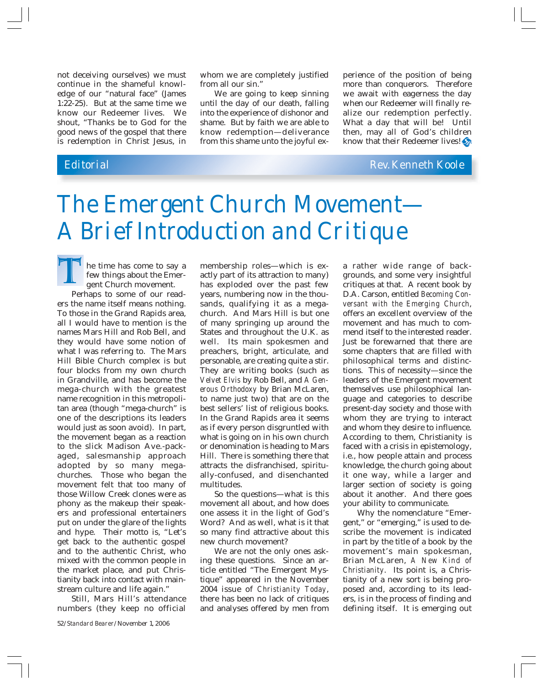not deceiving ourselves) we must continue in the shameful knowledge of our "natural face" (James 1:22-25). But at the same time we know our Redeemer lives. We shout, "Thanks be to God for the good news of the gospel that there is redemption in Christ Jesus, in

whom we are completely justified from all our sin."

We are going to keep sinning until the day of our death, falling into the experience of dishonor and shame. But by faith we are able to know redemption—deliverance from this shame unto the joyful ex-

perience of the position of being more than conquerors. Therefore we await with eagerness the day when our Redeemer will finally realize our redemption perfectly. What a day that will be! Until then, may all of God's children know that their Redeemer lives!

*Editorial Rev. Kenneth Koole*

# *The Emergent Church Movement— A Brief Introduction and Critique*

he time has come to say a few things about the Emergent Church movement. The time has come to say a<br>few things about the Emer-<br>gent Church movement.<br>Perhaps to some of our read-

ers the name itself means nothing. To those in the Grand Rapids area, all I would have to mention is the names Mars Hill and Rob Bell, and they would have some notion of what I was referring to. The Mars Hill Bible Church complex is but four blocks from my own church in Grandville, and has become the mega-church with the greatest name recognition in this metropolitan area (though "mega-church" is one of the descriptions its leaders would just as soon avoid). In part, the movement began as a reaction to the slick Madison Ave.-packaged, salesmanship approach adopted by so many megachurches. Those who began the movement felt that too many of those Willow Creek clones were as phony as the makeup their speakers and professional entertainers put on under the glare of the lights and hype. Their motto is, "Let's get back to the authentic gospel and to the authentic Christ, who mixed with the common people in the market place, and put Christianity back into contact with mainstream culture and life again."

Still, Mars Hill's attendance numbers (they keep no official

membership roles—which is exactly part of its attraction to many) has exploded over the past few years, numbering now in the thousands, qualifying it as a megachurch. And Mars Hill is but one of many springing up around the States and throughout the U.K. as well. Its main spokesmen and preachers, bright, articulate, and personable, are creating quite a stir. They are writing books (such as *Velvet Elvis* by Rob Bell, and *A Generous Orthodoxy* by Brian McLaren, to name just two) that are on the best sellers' list of religious books. In the Grand Rapids area it seems as if every person disgruntled with what is going on in his own church or denomination is heading to Mars Hill. There is something there that attracts the disfranchised, spiritually-confused, and disenchanted multitudes.

So the questions—what is this movement all about, and how does one assess it in the light of God's Word? And as well, what is it that so many find attractive about this new church movement?

We are not the only ones asking these questions. Since an article entitled "The Emergent Mystique" appeared in the November 2004 issue of *Christianity Today*, there has been no lack of critiques and analyses offered by men from

a rather wide range of backgrounds, and some very insightful critiques at that. A recent book by D.A. Carson, entitled *Becoming Conversant with the Emerging Church*, offers an excellent overview of the movement and has much to commend itself to the interested reader. Just be forewarned that there are some chapters that are filled with philosophical terms and distinctions. This of necessity—since the leaders of the Emergent movement themselves use philosophical language and categories to describe present-day society and those with whom they are trying to interact and whom they desire to influence. According to them, Christianity is faced with a crisis in epistemology, i.e., how people attain and process knowledge, the church going about it one way, while a larger and larger section of society is going about it another. And there goes your ability to communicate.

Why the nomenclature "Emergent," or "emerging," is used to describe the movement is indicated in part by the title of a book by the movement's main spokesman, Brian McLaren, *A New Kind of Christianity*. Its point is, a Christianity of a new sort is being proposed and, according to its leaders, is in the process of finding and defining itself. It is emerging out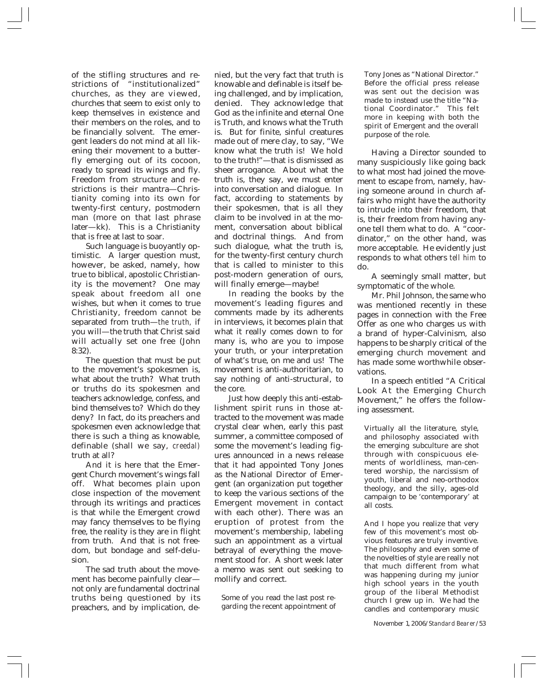of the stifling structures and restrictions of "institutionalized" churches, as they are viewed, churches that seem to exist only to keep themselves in existence and their members on the roles, and to be financially solvent. The emergent leaders do not mind at all likening their movement to a butterfly emerging out of its cocoon, ready to spread its wings and fly. Freedom from structure and restrictions is their mantra—Christianity coming into its own for twenty-first century, postmodern man (more on that last phrase later—kk). This is a Christianity that is free at last to soar.

Such language is buoyantly optimistic. A larger question must, however, be asked, namely, how true to biblical, apostolic Christianity is the movement? One may speak about freedom all one wishes, but when it comes to true Christianity, freedom cannot be separated from truth—*the truth,* if you will—the truth that Christ said will actually set one free (John 8:32).

The question that must be put to the movement's spokesmen is, what about the truth? What truth or truths do its spokesmen and teachers acknowledge, confess, and bind themselves to? Which do they deny? In fact, do its preachers and spokesmen even acknowledge that there is such a thing as knowable, definable (shall we say, *creedal)* truth at all?

And it is here that the Emergent Church movement's wings fall off. What becomes plain upon close inspection of the movement through its writings and practices is that while the Emergent crowd may fancy themselves to be flying free, the reality is they are in flight from truth. And that is not freedom, but bondage and self-delusion.

The sad truth about the movement has become painfully clear not only are fundamental doctrinal truths being questioned by its preachers, and by implication, denied, but the very fact that truth is knowable and definable is itself being challenged, and by implication, denied. They acknowledge that God as the infinite and eternal One is Truth, and knows what the Truth is. But for finite, sinful creatures made out of mere clay, to say, "We know what the truth is! We hold to the truth!"—that is dismissed as sheer arrogance. About what the truth is, they say, we must enter into conversation and dialogue. In fact, according to statements by their spokesmen, that is all they claim to be involved in at the moment, conversation about biblical and doctrinal things. And from such dialogue, what the truth is, for the twenty-first century church that is called to minister to this post-modern generation of ours, will finally emerge—maybe!

In reading the books by the movement's leading figures and comments made by its adherents in interviews, it becomes plain that what it really comes down to for many is, who are you to impose your truth, or your interpretation of what's true, on me and us! The movement is anti-authoritarian, to say nothing of anti-structural, to the core.

Just how deeply this anti-establishment spirit runs in those attracted to the movement was made crystal clear when, early this past summer, a committee composed of some the movement's leading figures announced in a news release that it had appointed Tony Jones as the National Director of Emergent (an organization put together to keep the various sections of the Emergent movement in contact with each other). There was an eruption of protest from the movement's membership, labeling such an appointment as a virtual betrayal of everything the movement stood for. A short week later a memo was sent out seeking to mollify and correct.

Some of you read the last post regarding the recent appointment of Tony Jones as "National Director." Before the official press release was sent out the decision was made to instead use the title "National Coordinator." This felt more in keeping with both the spirit of Emergent and the overall purpose of the role.

Having a Director sounded to many suspiciously like going back to what most had joined the movement to escape from, namely, having someone around in church affairs who might have the authority to intrude into their freedom, that is, their freedom from having anyone tell them what to do. A "coordinator," on the other hand, was more acceptable. He evidently just responds to what others *tell him* to do.

A seemingly small matter, but symptomatic of the whole.

Mr. Phil Johnson, the same who was mentioned recently in these pages in connection with the Free Offer as one who charges us with a brand of hyper-Calvinism, also happens to be sharply critical of the emerging church movement and has made some worthwhile observations.

In a speech entitled "A Critical Look At the Emerging Church Movement," he offers the following assessment.

Virtually all the literature, style, and philosophy associated with the emerging subculture are shot through with conspicuous elements of worldliness, man-centered worship, the narcissism of youth, liberal and neo-orthodox theology, and the silly, ages-old campaign to be 'contemporary' at all costs.

And I hope you realize that very few of this movement's most obvious features are truly inventive. The philosophy and even some of the novelties of style are really not that much different from what was happening during my junior high school years in the youth group of the liberal Methodist church I grew up in. We had the candles and contemporary music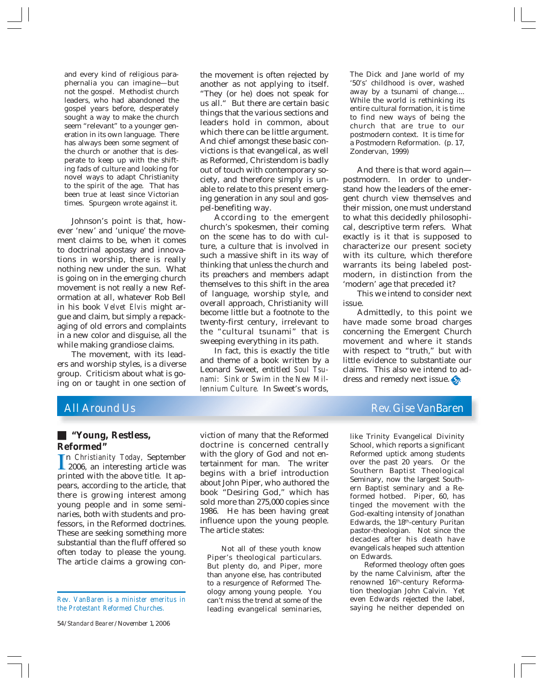and every kind of religious paraphernalia you can imagine—but not the gospel. Methodist church leaders, who had abandoned the gospel years before, desperately sought a way to make the church seem "relevant" to a younger generation in its own language. There has always been some segment of the church or another that is desperate to keep up with the shifting fads of culture and looking for novel ways to adapt Christianity to the spirit of the age. That has been true at least since Victorian times. Spurgeon wrote against it.

Johnson's point is that, however 'new' and 'unique' the movement claims to be, when it comes to doctrinal apostasy and innovations in worship, there is really nothing new under the sun. What is going on in the emerging church movement is not really a new Reformation at all, whatever Rob Bell in his book *Velvet Elvis* might argue and claim, but simply a repackaging of old errors and complaints in a new color and disguise, all the while making grandiose claims.

The movement, with its leaders and worship styles, is a diverse group. Criticism about what is going on or taught in one section of

the movement is often rejected by another as not applying to itself. "They (or he) does not speak for us all." But there are certain basic things that the various sections and leaders hold in common, about which there can be little argument. And chief amongst these basic convictions is that evangelical, as well as Reformed, Christendom is badly out of touch with contemporary society, and therefore simply is unable to relate to this present emerging generation in any soul and gospel-benefiting way.

According to the emergent church's spokesmen, their coming on the scene has to do with culture, a culture that is involved in such a massive shift in its way of thinking that unless the church and its preachers and members adapt themselves to this shift in the area of language, worship style, and overall approach, Christianity will become little but a footnote to the twenty-first century, irrelevant to the "cultural tsunami" that is sweeping everything in its path.

In fact, this is exactly the title and theme of a book written by a Leonard Sweet, entitled *Soul Tsunami: Sink or Swim in the New Millennium Culture.* In Sweet's words,

The Dick and Jane world of my '50's' childhood is over, washed away by a tsunami of change.... While the world is rethinking its entire cultural formation, it is time to find new ways of being the church that are true to our postmodern context. It is time for a Postmodern Reformation. (p. 17, Zondervan, 1999)

And there is that word again postmodern. In order to understand how the leaders of the emergent church view themselves and their mission, one must understand to what this decidedly philosophical, descriptive term refers. What exactly is it that is supposed to characterize our present society with its culture, which therefore warrants its being labeled postmodern, in distinction from the 'modern' age that preceded it?

This we intend to consider next issue.

Admittedly, to this point we have made some broad charges concerning the Emergent Church movement and where it stands with respect to "truth," but with little evidence to substantiate our claims. This also we intend to address and remedy next issue.

#### Q **"Young, Restless, Reformed"**

 $\prod_{\mathsf{nr}}$ n *Christianity Today,* September 2006, an interesting article was printed with the above title. It appears, according to the article, that there is growing interest among young people and in some seminaries, both with students and professors, in the Reformed doctrines. These are seeking something more substantial than the fluff offered so often today to please the young. The article claims a growing con-

*Rev. VanBaren is a minister emeritus in the Protestant Reformed Churches.*

54/*Standard Bearer*/November 1, 2006

viction of many that the Reformed doctrine is concerned centrally with the glory of God and not entertainment for man. The writer begins with a brief introduction about John Piper, who authored the book "Desiring God," which has sold more than 275,000 copies since 1986. He has been having great influence upon the young people. The article states:

Not all of these youth know Piper's theological particulars. But plenty do, and Piper, more than anyone else, has contributed to a resurgence of Reformed Theology among young people. You can't miss the trend at some of the leading evangelical seminaries,

## *All Around Us Rev. Gise VanBaren*

like Trinity Evangelical Divinity School, which reports a significant Reformed uptick among students over the past 20 years. Or the Southern Baptist Theological Seminary, now the largest Southern Baptist seminary and a Reformed hotbed. Piper, 60, has tinged the movement with the God-exalting intensity of Jonathan Edwards, the 18<sup>th</sup>-century Puritan pastor-theologian. Not since the decades after his death have evangelicals heaped such attention on Edwards.

Reformed theology often goes by the name Calvinism, after the renowned 16th-century Reformation theologian John Calvin. Yet even Edwards rejected the label, saying he neither depended on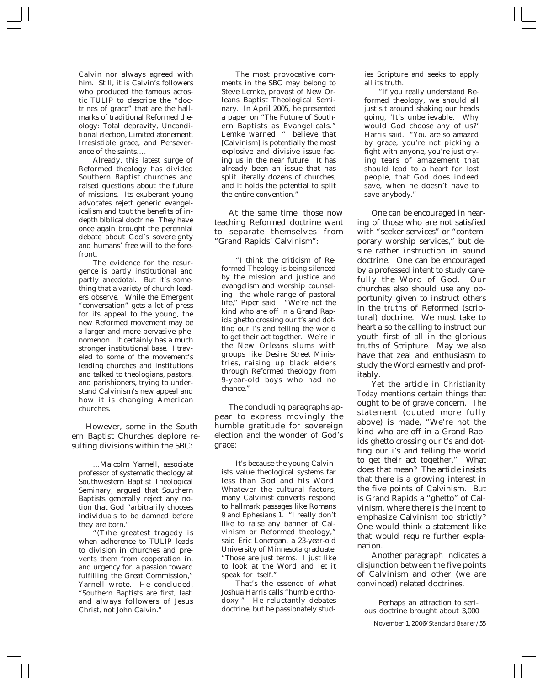Calvin nor always agreed with him. Still, it is Calvin's followers who produced the famous acrostic TULIP to describe the "doctrines of grace" that are the hallmarks of traditional Reformed theology: Total depravity, Unconditional election, Limited atonement, Irresistible grace, and Perseverance of the saints….

Already, this latest surge of Reformed theology has divided Southern Baptist churches and raised questions about the future of missions. Its exuberant young advocates reject generic evangelicalism and tout the benefits of indepth biblical doctrine. They have once again brought the perennial debate about God's sovereignty and humans' free will to the forefront.

The evidence for the resurgence is partly institutional and partly anecdotal. But it's something that a variety of church leaders observe. While the Emergent "conversation" gets a lot of press for its appeal to the young, the new Reformed movement may be a larger and more pervasive phenomenon. It certainly has a much stronger institutional base. I traveled to some of the movement's leading churches and institutions and talked to theologians, pastors, and parishioners, trying to understand Calvinism's new appeal and how it is changing American churches.

However, some in the Southern Baptist Churches deplore resulting divisions within the SBC:

…Malcolm Yarnell, associate professor of systematic theology at Southwestern Baptist Theological Seminary, argued that Southern Baptists generally reject any notion that God "arbitrarily chooses individuals to be damned before they are born."

"(T)he greatest tragedy is when adherence to TULIP leads to division in churches and prevents them from cooperation in, and urgency for, a passion toward fulfilling the Great Commission," Yarnell wrote. He concluded, "Southern Baptists are first, last, and always followers of Jesus Christ, not John Calvin."

The most provocative comments in the SBC may belong to Steve Lemke, provost of New Orleans Baptist Theological Seminary. In April 2005, he presented a paper on "The Future of Southern Baptists as Evangelicals." Lemke warned, "I believe that [Calvinism] is potentially the most explosive and divisive issue facing us in the near future. It has already been an issue that has split literally dozens of churches, and it holds the potential to split the entire convention."

At the same time, those now teaching Reformed doctrine want to separate themselves from "Grand Rapids' Calvinism":

"I think the criticism of Reformed Theology is being silenced by the mission and justice and evangelism and worship counseling—the whole range of pastoral life," Piper said. "We're not the kind who are off in a Grand Rapids ghetto crossing our t's and dotting our i's and telling the world to get their act together. We're in the New Orleans slums with groups like Desire Street Ministries, raising up black elders through Reformed theology from 9-year-old boys who had no chance."

The concluding paragraphs appear to express movingly the humble gratitude for sovereign election and the wonder of God's grace:

It's because the young Calvinists value theological systems far less than God and his Word. Whatever the cultural factors, many Calvinist converts respond to hallmark passages like Romans 9 and Ephesians 1. "I really don't like to raise any banner of Calvinism or Reformed theology," said Eric Lonergan, a 23-year-old University of Minnesota graduate. "Those are just terms. I just like to look at the Word and let it speak for itself."

That's the essence of what Joshua Harris calls "humble orthodoxy." He reluctantly debates doctrine, but he passionately studies Scripture and seeks to apply all its truth.

"If you really understand Reformed theology, we should all just sit around shaking our heads going, 'It's unbelievable. Why would God choose any of us?' Harris said. "You are so amazed by grace, you're not picking a fight with anyone, you're just crying tears of amazement that should lead to a heart for lost people, that God does indeed save, when he doesn't have to save anybody."

One can be encouraged in hearing of those who are not satisfied with "seeker services" or "contemporary worship services," but desire rather instruction in sound doctrine. One can be encouraged by a professed intent to study carefully the Word of God. Our churches also should use any opportunity given to instruct others in the truths of Reformed (scriptural) doctrine. We must take to heart also the calling to instruct our youth first of all in the glorious truths of Scripture. May we also have that zeal and enthusiasm to study the Word earnestly and profitably.

Yet the article in *Christianity Today* mentions certain things that ought to be of grave concern. The statement (quoted more fully above) is made, "We're not the kind who are off in a Grand Rapids ghetto crossing our t's and dotting our i's and telling the world to get their act together." What does that mean? The article insists that there is a growing interest in the five points of Calvinism. But is Grand Rapids a "ghetto" of Calvinism, where there is the intent to emphasize Calvinism too strictly? One would think a statement like that would require further explanation.

Another paragraph indicates a disjunction between the five points of Calvinism and other (we are convinced) related doctrines.

Perhaps an attraction to serious doctrine brought about 3,000

November 1, 2006/*Standard Bearer*/55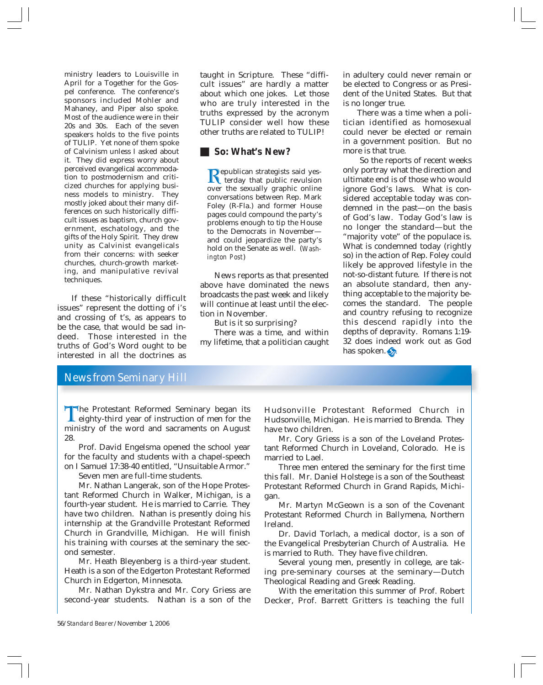ministry leaders to Louisville in April for a Together for the Gospel conference. The conference's sponsors included Mohler and Mahaney, and Piper also spoke. Most of the audience were in their 20s and 30s. Each of the seven speakers holds to the five points of TULIP. Yet none of them spoke of Calvinism unless I asked about it. They did express worry about perceived evangelical accommodation to postmodernism and criticized churches for applying business models to ministry. They mostly joked about their many differences on such historically difficult issues as baptism, church government, eschatology, and the gifts of the Holy Spirit. They drew unity as Calvinist evangelicals from their concerns: with seeker churches, church-growth marketing, and manipulative revival techniques.

If these "historically difficult issues" represent the dotting of i's and crossing of t's, as appears to be the case, that would be sad indeed. Those interested in the truths of God's Word ought to be interested in all the doctrines as

taught in Scripture. These "difficult issues" are hardly a matter about which one jokes. Let those who are truly interested in the truths expressed by the acronym TULIP consider well how these other truths are related to TULIP!

#### **So: What's New?**

**Republican strategists said yes-**<br>terday that public revulsion<br>over the sexually graphic online over the sexually graphic online conversations between Rep. Mark Foley (R-Fla.) and former House pages could compound the party's problems enough to tip the House to the Democrats in November and could jeopardize the party's hold on the Senate as well. (*Washington Post*)

News reports as that presented above have dominated the news broadcasts the past week and likely will continue at least until the election in November.

But is it so surprising?

There was a time, and within my lifetime, that a politician caught

in adultery could never remain or be elected to Congress or as President of the United States. But that is no longer true.

There was a time when a politician identified as homosexual could never be elected or remain in a government position. But no more is that true.

 So the reports of recent weeks only portray what the direction and ultimate end is of those who would ignore God's laws. What is considered acceptable today was condemned in the past—on the basis of God's law. Today God's law is no longer the standard—but the "majority vote" of the populace is. What is condemned today (rightly so) in the action of Rep. Foley could likely be approved lifestyle in the not-so-distant future. If there is not an absolute standard, then anything acceptable to the majority becomes the standard. The people and country refusing to recognize this descend rapidly into the depths of depravity. Romans 1:19- 32 does indeed work out as God has spoken.

## *News from Seminary Hill*

The Protestant Reformed Seminary began its<br>eighty-third year of instruction of men for the<br>ministry of the word and sacraments on August eighty-third year of instruction of men for the ministry of the word and sacraments on August 28.

Prof. David Engelsma opened the school year for the faculty and students with a chapel-speech on I Samuel 17:38-40 entitled, "Unsuitable Armor."

Seven men are full-time students.

Mr. Nathan Langerak, son of the Hope Protestant Reformed Church in Walker, Michigan, is a fourth-year student. He is married to Carrie. They have two children. Nathan is presently doing his internship at the Grandville Protestant Reformed Church in Grandville, Michigan. He will finish his training with courses at the seminary the second semester.

Mr. Heath Bleyenberg is a third-year student. Heath is a son of the Edgerton Protestant Reformed Church in Edgerton, Minnesota.

Mr. Nathan Dykstra and Mr. Cory Griess are second-year students. Nathan is a son of the

Hudsonville Protestant Reformed Church in Hudsonville, Michigan. He is married to Brenda. They have two children.

Mr. Cory Griess is a son of the Loveland Protestant Reformed Church in Loveland, Colorado. He is married to Lael.

Three men entered the seminary for the first time this fall. Mr. Daniel Holstege is a son of the Southeast Protestant Reformed Church in Grand Rapids, Michigan.

Mr. Martyn McGeown is a son of the Covenant Protestant Reformed Church in Ballymena, Northern Ireland.

Dr. David Torlach, a medical doctor, is a son of the Evangelical Presbyterian Church of Australia. He is married to Ruth. They have five children.

Several young men, presently in college, are taking pre-seminary courses at the seminary—Dutch Theological Reading and Greek Reading.

With the emeritation this summer of Prof. Robert Decker, Prof. Barrett Gritters is teaching the full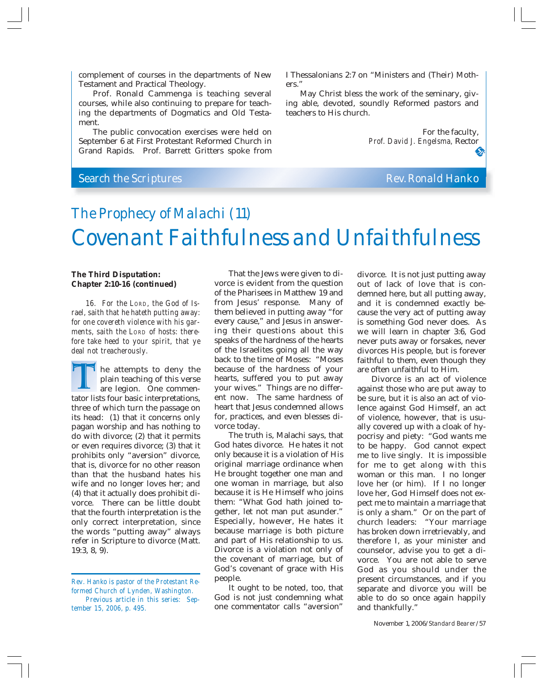complement of courses in the departments of New Testament and Practical Theology.

Prof. Ronald Cammenga is teaching several courses, while also continuing to prepare for teaching the departments of Dogmatics and Old Testament.

The public convocation exercises were held on September 6 at First Protestant Reformed Church in Grand Rapids. Prof. Barrett Gritters spoke from

I Thessalonians 2:7 on "Ministers and (Their) Mothers."

May Christ bless the work of the seminary, giving able, devoted, soundly Reformed pastors and teachers to His church.

> For the faculty, *Prof. David J. Engelsma,* Rector

## **Search the Scriptures Rev. Ronald Hanko**

# *The Prophecy of Malachi (11) Covenant Faithfulness and Unfaithfulness*

#### **The Third Disputation: Chapter 2:10-16 (continued)**

*16. For the LORD, the God of Israel, saith that he hateth putting away: for one covereth violence with his garments, saith the LORD of hosts: therefore take heed to your spirit, that ye deal not treacherously.*

he attempts to deny the plain teaching of this verse are legion. One commen-The attempts to deny the<br>plain teaching of this verse<br>are legion. One commen-<br>tator lists four basic interpretations, three of which turn the passage on its head: (1) that it concerns only pagan worship and has nothing to do with divorce; (2) that it permits or even requires divorce; (3) that it prohibits only "aversion" divorce, that is, divorce for no other reason than that the husband hates his wife and no longer loves her; and (4) that it actually does prohibit divorce. There can be little doubt that the fourth interpretation is the only correct interpretation, since the words "putting away" always refer in Scripture to divorce (Matt. 19:3, 8, 9).

*Rev. Hanko is pastor of the Protestant Reformed Church of Lynden, Washington. Previous article in this series: September 15, 2006, p. 495.*

That the Jews were given to divorce is evident from the question of the Pharisees in Matthew 19 and from Jesus' response. Many of them believed in putting away "for every cause," and Jesus in answering their questions about this speaks of the hardness of the hearts of the Israelites going all the way back to the time of Moses: "Moses because of the hardness of your hearts, suffered you to put away your wives." Things are no different now. The same hardness of heart that Jesus condemned allows for, practices, and even blesses divorce today.

The truth is, Malachi says, that God hates divorce. He hates it not only because it is a violation of His original marriage ordinance when He brought together one man and one woman in marriage, but also because it is He Himself who joins them: "What God hath joined together, let not man put asunder." Especially, however, He hates it because marriage is both picture and part of His relationship to us. Divorce is a violation not only of the covenant of marriage, but of God's covenant of grace with His people.

It ought to be noted, too, that God is not just condemning what one commentator calls "aversion" divorce. It is not just putting away out of lack of love that is condemned here, but all putting away, and it is condemned exactly because the very act of putting away is something God never does. As we will learn in chapter 3:6, God never puts away or forsakes, never divorces His people, but is forever faithful to them, even though they are often unfaithful to Him.

Divorce is an act of violence against those who are put away to be sure, but it is also an act of violence against God Himself, an act of violence, however, that is usually covered up with a cloak of hypocrisy and piety: "God wants me to be happy. God cannot expect me to live singly. It is impossible for me to get along with this woman or this man. I no longer love her (or him). If I no longer love her, God Himself does not expect me to maintain a marriage that is only a sham." Or on the part of church leaders: "Your marriage has broken down irretrievably, and therefore I, as your minister and counselor, advise you to get a divorce. You are not able to serve God as you should under the present circumstances, and if you separate and divorce you will be able to do so once again happily and thankfully."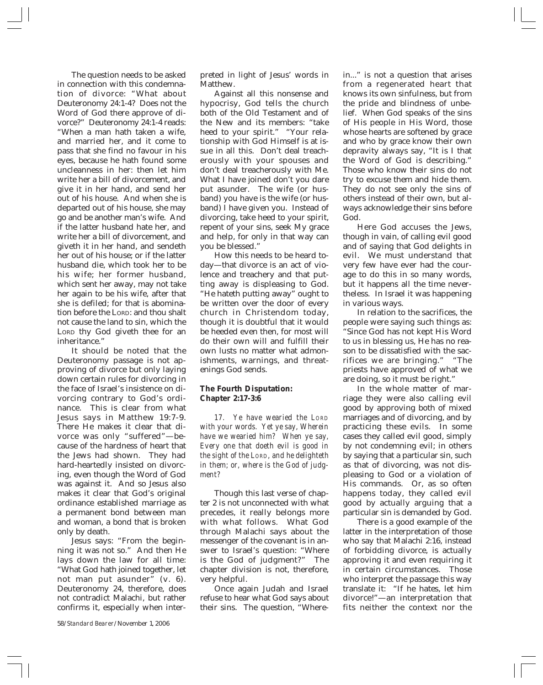The question needs to be asked in connection with this condemnation of divorce: "What about Deuteronomy 24:1-4? Does not the Word of God there approve of divorce?" Deuteronomy 24:1-4 reads: "When a man hath taken a wife, and married her, and it come to pass that she find no favour in his eyes, because he hath found some uncleanness in her: then let him write her a bill of divorcement, and give it in her hand, and send her out of his house. And when she is departed out of his house, she may go and be another man's wife. And if the latter husband hate her, and write her a bill of divorcement, and giveth it in her hand, and sendeth her out of his house; or if the latter husband die, which took her to be his wife; her former husband, which sent her away, may not take her again to be his wife, after that she is defiled; for that is abomination before the LORD: and thou shalt not cause the land to sin, which the LORD thy God giveth thee for an inheritance."

It should be noted that the Deuteronomy passage is not approving of divorce but only laying down certain rules for divorcing in the face of Israel's insistence on divorcing contrary to God's ordinance. This is clear from what Jesus says in Matthew 19:7-9. There He makes it clear that divorce was only "suffered"—because of the hardness of heart that the Jews had shown. They had hard-heartedly insisted on divorcing, even though the Word of God was against it. And so Jesus also makes it clear that God's original ordinance established marriage as a permanent bond between man and woman, a bond that is broken only by death.

Jesus says: "From the beginning it was not so." And then He lays down the law for all time: "What God hath joined together, let not man put asunder" (v. 6). Deuteronomy 24, therefore, does not contradict Malachi, but rather confirms it, especially when interpreted in light of Jesus' words in Matthew.

Against all this nonsense and hypocrisy, God tells the church both of the Old Testament and of the New and its members: "take heed to your spirit." "Your relationship with God Himself is at issue in all this. Don't deal treacherously with your spouses and don't deal treacherously with Me. What I have joined don't you dare put asunder. The wife (or husband) you have is the wife (or husband) I have given you. Instead of divorcing, take heed to your spirit, repent of your sins, seek My grace and help, for only in that way can you be blessed."

How this needs to be heard today—that divorce is an act of violence and treachery and that putting away is displeasing to God. "He hateth putting away" ought to be written over the door of every church in Christendom today, though it is doubtful that it would be heeded even then, for most will do their own will and fulfill their own lusts no matter what admonishments, warnings, and threatenings God sends.

#### **The Fourth Disputation: Chapter 2:17-3:6**

*17. Ye have wearied the LORD with your words. Yet ye say, Wherein have we wearied him? When ye say, Every one that doeth evil is good in the sight of the LORD, and he delighteth in them; or, where is the God of judgment?*

Though this last verse of chapter 2 is not unconnected with what precedes, it really belongs more with what follows. What God through Malachi says about the messenger of the covenant is in answer to Israel's question: "Where is the God of judgment?" The chapter division is not, therefore, very helpful.

Once again Judah and Israel refuse to hear what God says about their sins. The question, "Wherein..." is not a question that arises from a regenerated heart that knows its own sinfulness, but from the pride and blindness of unbelief. When God speaks of the sins of His people in His Word, those whose hearts are softened by grace and who by grace know their own depravity always say, "It is I that the Word of God is describing." Those who know their sins do not try to excuse them and hide them. They do not see only the sins of others instead of their own, but always acknowledge their sins before God.

Here God accuses the Jews, though in vain, of calling evil good and of saying that God delights in evil. We must understand that very few have ever had the courage to do this in so many words, but it happens all the time nevertheless. In Israel it was happening in various ways.

In relation to the sacrifices, the people were saying such things as: "Since God has not kept His Word to us in blessing us, He has no reason to be dissatisfied with the sacrifices we are bringing." "The priests have approved of what we are doing, so it must be right."

In the whole matter of marriage they were also calling evil good by approving both of mixed marriages and of divorcing, and by practicing these evils. In some cases they called evil good, simply by not condemning evil; in others by saying that a particular sin, such as that of divorcing, was not displeasing to God or a violation of His commands. Or, as so often happens today, they called evil good by actually arguing that a particular sin is demanded by God.

There is a good example of the latter in the interpretation of those who say that Malachi 2:16, instead of forbidding divorce, is actually approving it and even requiring it in certain circumstances. Those who interpret the passage this way translate it: "If he hates, let him divorce!"—an interpretation that fits neither the context nor the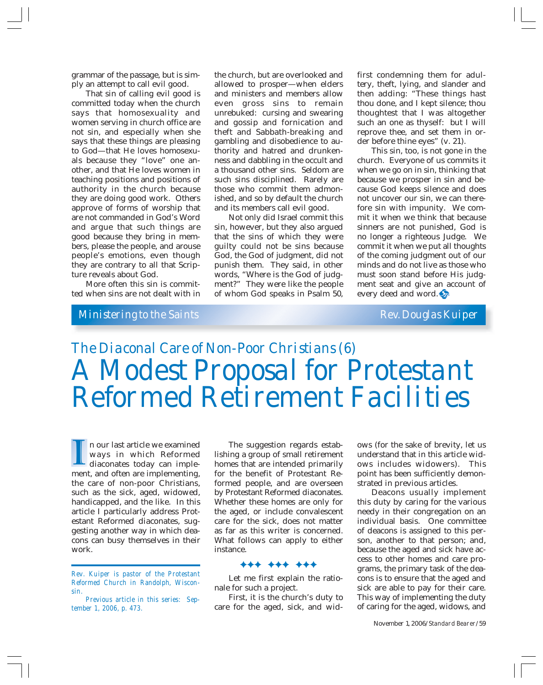grammar of the passage, but is simply an attempt to call evil good.

That sin of calling evil good is committed today when the church says that homosexuality and women serving in church office are not sin, and especially when she says that these things are pleasing to God—that He loves homosexuals because they "love" one another, and that He loves women in teaching positions and positions of authority in the church because they are doing good work. Others approve of forms of worship that are not commanded in God's Word and argue that such things are good because they bring in members, please the people, and arouse people's emotions, even though they are contrary to all that Scripture reveals about God.

More often this sin is committed when sins are not dealt with in

the church, but are overlooked and allowed to prosper—when elders and ministers and members allow even gross sins to remain unrebuked: cursing and swearing and gossip and fornication and theft and Sabbath-breaking and gambling and disobedience to authority and hatred and drunkenness and dabbling in the occult and a thousand other sins. Seldom are such sins disciplined. Rarely are those who commit them admonished, and so by default the church and its members call evil good.

Not only did Israel commit this sin, however, but they also argued that the sins of which they were guilty could not be sins because God, the God of judgment, did not punish them. They said, in other words, "Where is the God of judgment?" They were like the people of whom God speaks in Psalm 50,

first condemning them for adultery, theft, lying, and slander and then adding: "These things hast thou done, and I kept silence; thou thoughtest that I was altogether such an one as thyself: but I will reprove thee, and set them in order before thine eyes" (v. 21).

This sin, too, is not gone in the church. Everyone of us commits it when we go on in sin, thinking that because we prosper in sin and because God keeps silence and does not uncover our sin, we can therefore sin with impunity. We commit it when we think that because sinners are not punished, God is no longer a righteous Judge. We commit it when we put all thoughts of the coming judgment out of our minds and do not live as those who must soon stand before His judgment seat and give an account of every deed and word.

## *Ministering to the Saints Rev. Douglas Kuiper*

*The Diaconal Care of Non-Poor Christians (6) A Modest Proposal for Protestant Reformed Retirement Facilities*

n our last article we examined ways in which Reformed diaconates today can implen our last article we examined<br>ways in which Reformed<br>diaconates today can imple-<br>ment, and often are implementing, the care of non-poor Christians, such as the sick, aged, widowed, handicapped, and the like. In this article I particularly address Protestant Reformed diaconates, suggesting another way in which deacons can busy themselves in their work.

*Rev. Kuiper is pastor of the Protestant Reformed Church in Randolph, Wisconsin.*

*Previous article in this series: September 1, 2006, p. 473.*

The suggestion regards establishing a group of small retirement homes that are intended primarily for the benefit of Protestant Reformed people, and are overseen by Protestant Reformed diaconates. Whether these homes are only for the aged, or include convalescent care for the sick, does not matter as far as this writer is concerned. What follows can apply to either instance.

#### )))))))))

Let me first explain the rationale for such a project.

First, it is the church's duty to care for the aged, sick, and widows (for the sake of brevity, let us understand that in this article widows includes widowers). This point has been sufficiently demonstrated in previous articles.

Deacons usually implement this duty by caring for the various needy in their congregation on an individual basis. One committee of deacons is assigned to this person, another to that person; and, because the aged and sick have access to other homes and care programs, the primary task of the deacons is to ensure that the aged and sick are able to pay for their care. This way of implementing the duty of caring for the aged, widows, and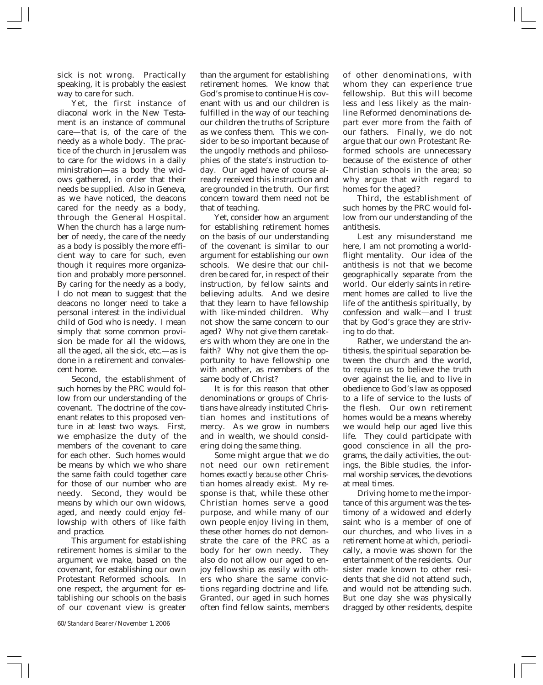sick is not wrong. Practically speaking, it is probably the easiest way to care for such.

Yet, the first instance of diaconal work in the New Testament is an instance of communal care—that is, of the care of the needy as a whole body. The practice of the church in Jerusalem was to care for the widows in a daily ministration—as a body the widows gathered, in order that their needs be supplied. Also in Geneva, as we have noticed, the deacons cared for the needy as a body, through the General Hospital. When the church has a large number of needy, the care of the needy as a body is possibly the more efficient way to care for such, even though it requires more organization and probably more personnel. By caring for the needy as a body, I do not mean to suggest that the deacons no longer need to take a personal interest in the individual child of God who is needy. I mean simply that some common provision be made for all the widows, all the aged, all the sick, etc.—as is done in a retirement and convalescent home.

Second, the establishment of such homes by the PRC would follow from our understanding of the covenant. The doctrine of the covenant relates to this proposed venture in at least two ways. First, we emphasize the duty of the members of the covenant to care for each other. Such homes would be means by which we who share the same faith could together care for those of our number who are needy. Second, they would be means by which our own widows, aged, and needy could enjoy fellowship with others of like faith and practice.

This argument for establishing retirement homes is similar to the argument we make, based on the covenant, for establishing our own Protestant Reformed schools. In one respect, the argument for establishing our schools on the basis of our covenant view is greater

than the argument for establishing retirement homes. We know that God's promise to continue His covenant with us and our children is fulfilled in the way of our teaching our children the truths of Scripture as we confess them. This we consider to be so important because of the ungodly methods and philosophies of the state's instruction today. Our aged have of course already received this instruction and are grounded in the truth. Our first concern toward them need not be that of teaching.

Yet, consider how an argument for establishing retirement homes on the basis of our understanding of the covenant is similar to our argument for establishing our own schools. We desire that our children be cared for, in respect of their instruction, by fellow saints and believing adults. And we desire that they learn to have fellowship with like-minded children. Why not show the same concern to our aged? Why not give them caretakers with whom they are one in the faith? Why not give them the opportunity to have fellowship one with another, as members of the same body of Christ?

It is for this reason that other denominations or groups of Christians have already instituted Christian homes and institutions of mercy. As we grow in numbers and in wealth, we should considering doing the same thing.

Some might argue that we do not need our own retirement homes exactly *because* other Christian homes already exist. My response is that, while these other Christian homes serve a good purpose, and while many of our own people enjoy living in them, these other homes do not demonstrate the care of the PRC as a body for her own needy. They also do not allow our aged to enjoy fellowship as easily with others who share the same convictions regarding doctrine and life. Granted, our aged in such homes often find fellow saints, members of other denominations, with whom they can experience true fellowship. But this will become less and less likely as the mainline Reformed denominations depart ever more from the faith of our fathers. Finally, we do not argue that our own Protestant Reformed schools are unnecessary because of the existence of other Christian schools in the area; so why argue that with regard to homes for the aged?

Third, the establishment of such homes by the PRC would follow from our understanding of the antithesis.

Lest any misunderstand me here, I am not promoting a worldflight mentality. Our idea of the antithesis is not that we become geographically separate from the world. Our elderly saints in retirement homes are called to live the life of the antithesis spiritually, by confession and walk—and I trust that by God's grace they are striving to do that.

Rather, we understand the antithesis, the spiritual separation between the church and the world, to require us to believe the truth over against the lie, and to live in obedience to God's law as opposed to a life of service to the lusts of the flesh. Our own retirement homes would be a means whereby we would help our aged live this life. They could participate with good conscience in all the programs, the daily activities, the outings, the Bible studies, the informal worship services, the devotions at meal times.

Driving home to me the importance of this argument was the testimony of a widowed and elderly saint who is a member of one of our churches, and who lives in a retirement home at which, periodically, a movie was shown for the entertainment of the residents. Our sister made known to other residents that she did not attend such, and would not be attending such. But one day she was physically dragged by other residents, despite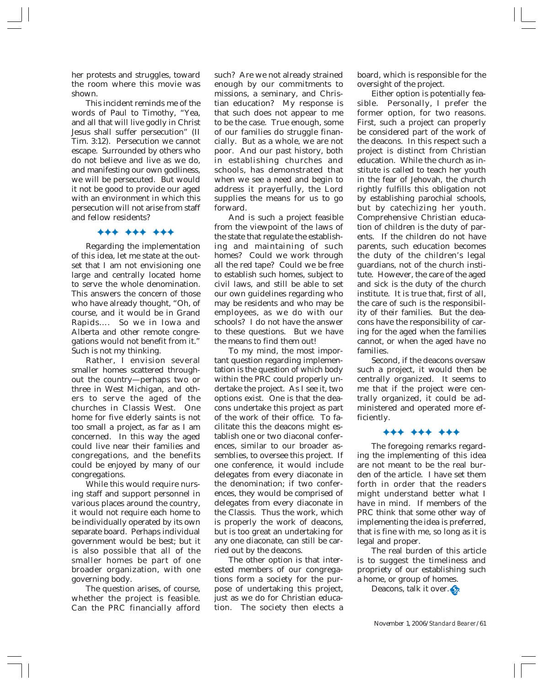her protests and struggles, toward the room where this movie was shown.

This incident reminds me of the words of Paul to Timothy, "Yea, and all that will live godly in Christ Jesus shall suffer persecution" (II Tim. 3:12). Persecution we cannot escape. Surrounded by others who do not believe and live as we do, and manifesting our own godliness, we will be persecuted. But would it not be good to provide our aged with an environment in which this persecution will not arise from staff and fellow residents?

#### )))))))))

Regarding the implementation of this idea, let me state at the outset that I am not envisioning one large and centrally located home to serve the whole denomination. This answers the concern of those who have already thought, "Oh, of course, and it would be in Grand Rapids…. So we in Iowa and Alberta and other remote congregations would not benefit from it." Such is not my thinking.

Rather, I envision several smaller homes scattered throughout the country—perhaps two or three in West Michigan, and others to serve the aged of the churches in Classis West. One home for five elderly saints is not too small a project, as far as I am concerned. In this way the aged could live near their families and congregations, and the benefits could be enjoyed by many of our congregations.

While this would require nursing staff and support personnel in various places around the country, it would not require each home to be individually operated by its own separate board. Perhaps individual government would be best; but it is also possible that all of the smaller homes be part of one broader organization, with one governing body.

The question arises, of course, whether the project is feasible. Can the PRC financially afford such? Are we not already strained enough by our commitments to missions, a seminary, and Christian education? My response is that such does not appear to me to be the case. True enough, some of our families do struggle financially. But as a whole, we are not poor. And our past history, both in establishing churches and schools, has demonstrated that when we see a need and begin to address it prayerfully, the Lord supplies the means for us to go forward.

And is such a project feasible from the viewpoint of the laws of the state that regulate the establishing and maintaining of such homes? Could we work through all the red tape? Could we be free to establish such homes, subject to civil laws, and still be able to set our own guidelines regarding who may be residents and who may be employees, as we do with our schools? I do not have the answer to these questions. But we have the means to find them out!

To my mind, the most important question regarding implementation is the question of which body within the PRC could properly undertake the project. As I see it, two options exist. One is that the deacons undertake this project as part of the work of their office. To facilitate this the deacons might establish one or two diaconal conferences, similar to our broader assemblies, to oversee this project. If one conference, it would include delegates from every diaconate in the denomination; if two conferences, they would be comprised of delegates from every diaconate in the Classis. Thus the work, which is properly the work of deacons, but is too great an undertaking for any one diaconate, can still be carried out by the deacons.

The other option is that interested members of our congregations form a society for the purpose of undertaking this project, just as we do for Christian education. The society then elects a board, which is responsible for the oversight of the project.

Either option is potentially feasible. Personally, I prefer the former option, for two reasons. First, such a project can properly be considered part of the work of the deacons. In this respect such a project is distinct from Christian education. While the church as institute is called to teach her youth in the fear of Jehovah, the church rightly fulfills this obligation not by establishing parochial schools, but by catechizing her youth. Comprehensive Christian education of children is the duty of parents. If the children do not have parents, such education becomes the duty of the children's legal guardians, not of the church institute. However, the care of the aged and sick is the duty of the church institute. It is true that, first of all, the care of such is the responsibility of their families. But the deacons have the responsibility of caring for the aged when the families cannot, or when the aged have no families.

Second, if the deacons oversaw such a project, it would then be centrally organized. It seems to me that if the project were centrally organized, it could be administered and operated more efficiently.

#### )))))))))

The foregoing remarks regarding the implementing of this idea are not meant to be the real burden of the article. I have set them forth in order that the readers might understand better what I have in mind. If members of the PRC think that some other way of implementing the idea is preferred, that is fine with me, so long as it is legal and proper.

The real burden of this article is to suggest the timeliness and propriety of our establishing such a home, or group of homes.

Deacons, talk it over.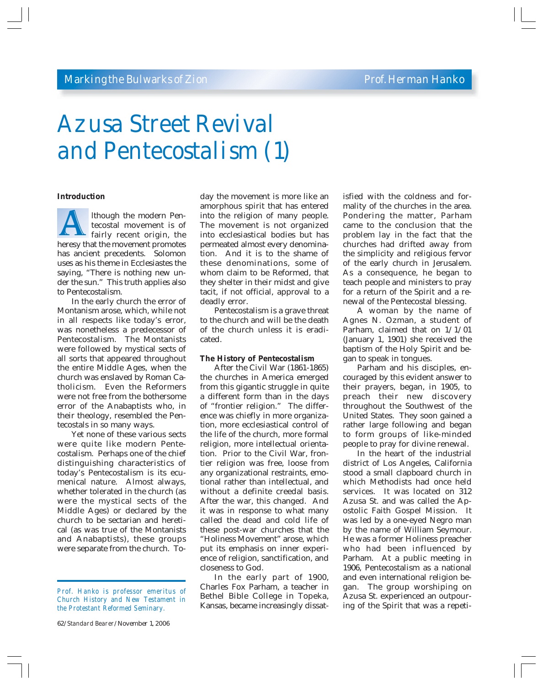# *Azusa Street Revival and Pentecostalism (1)*

#### **Introduction**

lthough the modern Pentecostal movement is of fairly recent origin, the Ithough the modern Pentecostal movement is of<br>fairly recent origin, the<br>heresy that the movement promotes has ancient precedents. Solomon uses as his theme in Ecclesiastes the saying, "There is nothing new under the sun." This truth applies also to Pentecostalism.

In the early church the error of Montanism arose, which, while not in all respects like today's error, was nonetheless a predecessor of Pentecostalism. The Montanists were followed by mystical sects of all sorts that appeared throughout the entire Middle Ages, when the church was enslaved by Roman Catholicism. Even the Reformers were not free from the bothersome error of the Anabaptists who, in their theology, resembled the Pentecostals in so many ways.

Yet none of these various sects were quite like modern Pentecostalism. Perhaps one of the chief distinguishing characteristics of today's Pentecostalism is its ecumenical nature. Almost always, whether tolerated in the church (as were the mystical sects of the Middle Ages) or declared by the church to be sectarian and heretical (as was true of the Montanists and Anabaptists), these groups were separate from the church. To-

62/*Standard Bearer*/November 1, 2006

day the movement is more like an amorphous spirit that has entered into the religion of many people. The movement is not organized into ecclesiastical bodies but has permeated almost every denomination. And it is to the shame of these denominations, some of whom claim to be Reformed, that they shelter in their midst and give tacit, if not official, approval to a deadly error.

Pentecostalism is a grave threat to the church and will be the death of the church unless it is eradicated.

#### **The History of Pentecostalism**

After the Civil War (1861-1865) the churches in America emerged from this gigantic struggle in quite a different form than in the days of "frontier religion." The difference was chiefly in more organization, more ecclesiastical control of the life of the church, more formal religion, more intellectual orientation. Prior to the Civil War, frontier religion was free, loose from any organizational restraints, emotional rather than intellectual, and without a definite creedal basis. After the war, this changed. And it was in response to what many called the dead and cold life of these post-war churches that the "Holiness Movement" arose, which put its emphasis on inner experience of religion, sanctification, and closeness to God.

In the early part of 1900, Charles Fox Parham, a teacher in Bethel Bible College in Topeka, Kansas, became increasingly dissat-

isfied with the coldness and formality of the churches in the area. Pondering the matter, Parham came to the conclusion that the problem lay in the fact that the churches had drifted away from the simplicity and religious fervor of the early church in Jerusalem. As a consequence, he began to teach people and ministers to pray for a return of the Spirit and a renewal of the Pentecostal blessing.

A woman by the name of Agnes N. Ozman, a student of Parham, claimed that on 1/1/01 (January 1, 1901) she received the baptism of the Holy Spirit and began to speak in tongues.

Parham and his disciples, encouraged by this evident answer to their prayers, began, in 1905, to preach their new discovery throughout the Southwest of the United States. They soon gained a rather large following and began to form groups of like-minded people to pray for divine renewal.

In the heart of the industrial district of Los Angeles, California stood a small clapboard church in which Methodists had once held services. It was located on 312 Azusa St. and was called the Apostolic Faith Gospel Mission. It was led by a one-eyed Negro man by the name of William Seymour. He was a former Holiness preacher who had been influenced by Parham. At a public meeting in 1906, Pentecostalism as a national and even international religion began. The group worshiping on Azusa St. experienced an outpouring of the Spirit that was a repeti-

*Prof. Hanko is professor emeritus of Church History and New Testament in the Protestant Reformed Seminary.*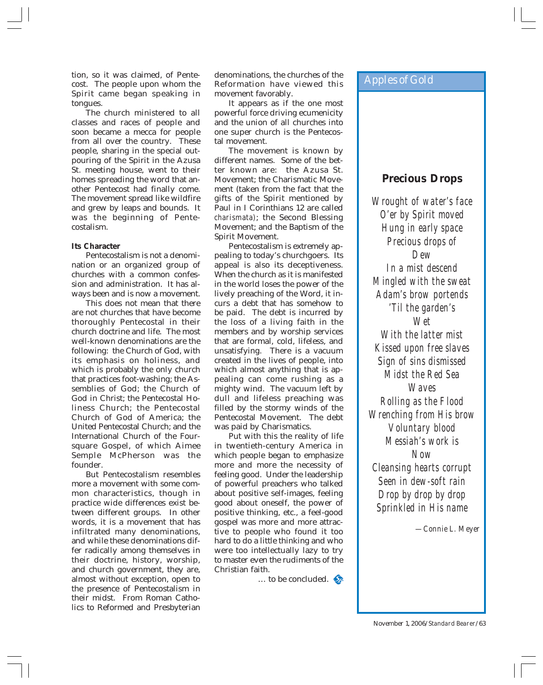tion, so it was claimed, of Pentecost. The people upon whom the Spirit came began speaking in tongues.

The church ministered to all classes and races of people and soon became a mecca for people from all over the country. These people, sharing in the special outpouring of the Spirit in the Azusa St. meeting house, went to their homes spreading the word that another Pentecost had finally come. The movement spread like wildfire and grew by leaps and bounds. It was the beginning of Pentecostalism.

#### **Its Character**

Pentecostalism is not a denomination or an organized group of churches with a common confession and administration. It has always been and is now a movement.

This does not mean that there are not churches that have become thoroughly Pentecostal in their church doctrine and life. The most well-known denominations are the following: the Church of God, with its emphasis on holiness, and which is probably the only church that practices foot-washing; the Assemblies of God; the Church of God in Christ; the Pentecostal Holiness Church; the Pentecostal Church of God of America; the United Pentecostal Church; and the International Church of the Foursquare Gospel, of which Aimee Semple McPherson was the founder.

But Pentecostalism resembles more a movement with some common characteristics, though in practice wide differences exist between different groups. In other words, it is a movement that has infiltrated many denominations, and while these denominations differ radically among themselves in their doctrine, history, worship, and church government, they are, almost without exception, open to the presence of Pentecostalism in their midst. From Roman Catholics to Reformed and Presbyterian

denominations, the churches of the Reformation have viewed this movement favorably.

It appears as if the one most powerful force driving ecumenicity and the union of all churches into one super church is the Pentecostal movement.

The movement is known by different names. Some of the better known are: the Azusa St. Movement; the Charismatic Movement (taken from the fact that the gifts of the Spirit mentioned by Paul in I Corinthians 12 are called *charismata)*; the Second Blessing Movement; and the Baptism of the Spirit Movement.

Pentecostalism is extremely appealing to today's churchgoers. Its appeal is also its deceptiveness. When the church as it is manifested in the world loses the power of the lively preaching of the Word, it incurs a debt that has somehow to be paid. The debt is incurred by the loss of a living faith in the members and by worship services that are formal, cold, lifeless, and unsatisfying. There is a vacuum created in the lives of people, into which almost anything that is appealing can come rushing as a mighty wind. The vacuum left by dull and lifeless preaching was filled by the stormy winds of the Pentecostal Movement. The debt was paid by Charismatics.

Put with this the reality of life in twentieth-century America in which people began to emphasize more and more the necessity of feeling good. Under the leadership of powerful preachers who talked about positive self-images, feeling good about oneself, the power of positive thinking, etc., a feel-good gospel was more and more attractive to people who found it too hard to do a little thinking and who were too intellectually lazy to try to master even the rudiments of the Christian faith.

 $\therefore$  to be concluded.

## *Apples of Gold*

## **Precious Drops**

*Wrought of water's face O'er by Spirit moved Hung in early space Precious drops of Dew In a mist descend Mingled with the sweat Adam's brow portends 'Til the garden's Wet With the latter mist Kissed upon free slaves Sign of sins dismissed Midst the Red Sea Waves Rolling as the Flood Wrenching from His brow Voluntary blood Messiah's work is Now Cleansing hearts corrupt Seen in dew-soft rain Drop by drop by drop Sprinkled in His name*

*—Connie L. Meyer*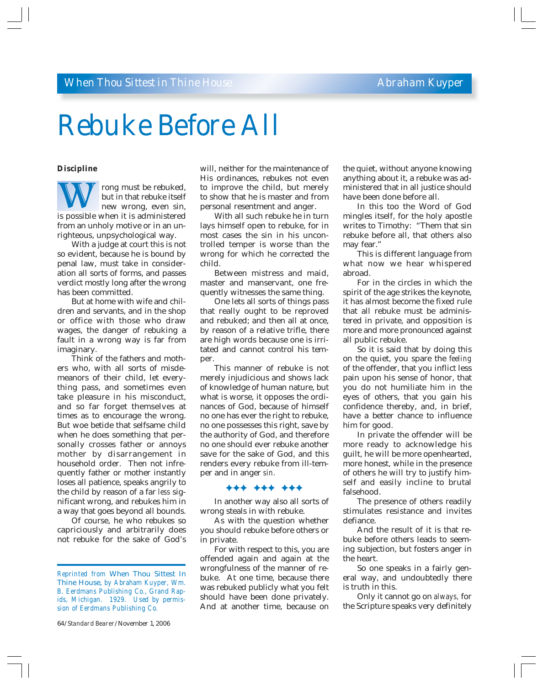# *Rebuke Before All*

#### **Discipline**

rong must be rebuked, but in that rebuke itself new wrong, even sin, rong must be rebuked,<br>but in that rebuke itself<br>new wrong, even sin,<br>is possible when it is administered from an unholy motive or in an unrighteous, unpsychological way.

With a judge at court this is not so evident, because he is bound by penal law, must take in consideration all sorts of forms, and passes verdict mostly long after the wrong has been committed.

But at home with wife and children and servants, and in the shop or office with those who draw wages, the danger of rebuking a fault in a wrong way is far from imaginary.

Think of the fathers and mothers who, with all sorts of misdemeanors of their child, let everything pass, and sometimes even take pleasure in his misconduct, and so far forget themselves at times as to encourage the wrong. But woe betide that selfsame child when he does something that personally crosses father or annoys mother by disarrangement in household order. Then not infrequently father or mother instantly loses all patience, speaks angrily to the child by reason of a far *less* significant wrong, and rebukes him in a way that goes beyond all bounds.

Of course, he who rebukes so capriciously and arbitrarily does not rebuke for the sake of God's

64/*Standard Bearer*/November 1, 2006

will, neither for the maintenance of His ordinances, rebukes not even to improve the child, but merely to show that he is master and from personal resentment and anger.

With all such rebuke he in turn lays himself open to rebuke, for in most cases the sin in his uncontrolled temper is worse than the wrong for which he corrected the child.

Between mistress and maid, master and manservant, one frequently witnesses the same thing.

One lets all sorts of things pass that really ought to be reproved and rebuked; and then all at once, by reason of a relative trifle, there are high words because one is irritated and cannot control his temper.

This manner of rebuke is not merely injudicious and shows lack of knowledge of human nature, but what is worse, it opposes the ordinances of God, because of himself no one has ever the right to rebuke, no one possesses this right, save by the authority of God, and therefore no one should ever rebuke another save for the sake of God, and this renders every rebuke from ill-temper and in anger *sin.*

#### )))))))))

In another way also all sorts of wrong steals in with rebuke.

As with the question whether you should rebuke before others or in private.

For with respect to this, you are offended again and again at the wrongfulness of the manner of rebuke. At one time, because there was rebuked publicly what you felt should have been done privately. And at another time, because on

the quiet, without anyone knowing anything about it, a rebuke was administered that in all justice should have been done before all.

In this too the Word of God mingles itself, for the holy apostle writes to Timothy: "Them that sin rebuke before all, that others also may fear."

This is different language from what now we hear whispered abroad.

For in the circles in which the spirit of the age strikes the keynote, it has almost become the fixed rule that all rebuke must be administered in private, and opposition is more and more pronounced against all public rebuke.

So it is said that by doing this on the quiet, you spare the *feeling* of the offender, that you inflict less pain upon his sense of honor, that you do not humiliate him in the eyes of others, that you gain his confidence thereby, and, in brief, have a better chance to influence him for good.

In private the offender will be more ready to acknowledge his guilt, he will be more openhearted, more honest, while in the presence of others he will try to justify himself and easily incline to brutal falsehood.

The presence of others readily stimulates resistance and invites defiance.

And the result of it is that rebuke before others leads to seeming subjection, but fosters anger in the heart.

So one speaks in a fairly general way, and undoubtedly there is truth in this.

Only it cannot go on *always,* for the Scripture speaks very definitely

*Reprinted from* When Thou Sittest In Thine House, *by Abraham Kuyper, Wm. B. Eerdmans Publishing Co., Grand Rapids, Michigan. 1929. Used by permission of Eerdmans Publishing Co.*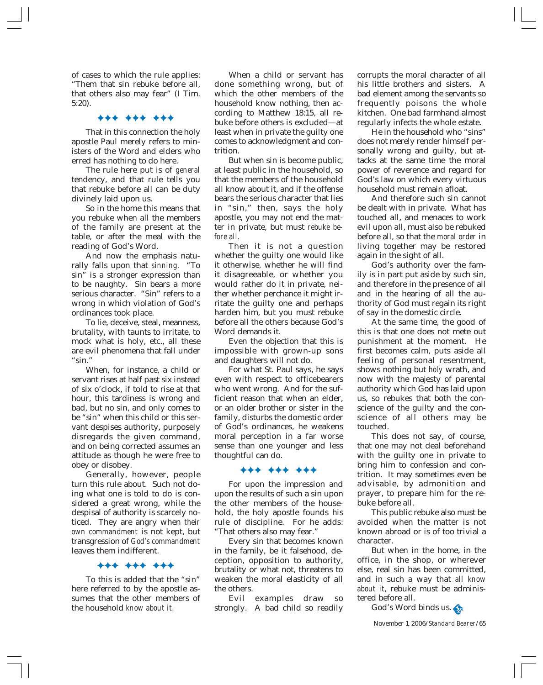of cases to which the rule applies: "Them that sin rebuke before all, that others also may fear" (I Tim. 5:20).

#### )))))))))

That in this connection the holy apostle Paul merely refers to ministers of the Word and elders who erred has nothing to do here.

The rule here put is of *general* tendency, and that rule tells you that rebuke before all can be duty divinely laid upon us.

So in the home this means that you rebuke when all the members of the family are present at the table, or after the meal with the reading of God's Word.

And now the emphasis naturally falls upon that *sinning.* "To sin" is a stronger expression than to be naughty. Sin bears a more serious character. "Sin" refers to a wrong in which violation of God's ordinances took place.

To lie, deceive, steal, meanness, brutality, with taunts to irritate, to mock what is holy, etc., all these are evil phenomena that fall under  $"sin."$ 

When, for instance, a child or servant rises at half past six instead of six o'clock, if told to rise at that hour, this tardiness is wrong and bad, but no sin, and only comes to be "sin" when this child or this servant despises authority, purposely disregards the given command, and on being corrected assumes an attitude as though he were free to obey or disobey.

Generally, however, people turn this rule about. Such not doing what one is told to do is considered a great wrong, while the despisal of authority is scarcely noticed. They are angry when *their own commandment* is not kept, but transgression of *God's commandment* leaves them indifferent.

#### )))))))))

To this is added that the "sin" here referred to by the apostle assumes that the other members of the household *know about it.*

When a child or servant has done something wrong, but of which the other members of the household know nothing, then according to Matthew 18:15, all rebuke before others is excluded—at least when in private the guilty one comes to acknowledgment and contrition.

But when sin is become public, at least public in the household, so that the members of the household all know about it, and if the offense bears the serious character that lies in "sin," then, says the holy apostle, you may not end the matter in private, but must *rebuke before all.*

Then it is not a question whether the guilty one would like it otherwise, whether he will find it disagreeable, or whether you would rather do it in private, neither whether perchance it might irritate the guilty one and perhaps harden him, but you must rebuke before all the others because God's Word demands it.

Even the objection that this is impossible with grown-up sons and daughters will not do.

For what St. Paul says, he says even with respect to officebearers who went wrong. And for the sufficient reason that when an elder, or an older brother or sister in the family, disturbs the domestic order of God's ordinances, he weakens moral perception in a far worse sense than one younger and less thoughtful can do.

#### )))))))))

For upon the impression and upon the results of such a sin upon the other members of the household, the holy apostle founds his rule of discipline. For he adds: "That others also may fear."

Every sin that becomes known in the family, be it falsehood, deception, opposition to authority, brutality or what not, threatens to weaken the moral elasticity of all the others.

Evil examples draw so strongly. A bad child so readily

corrupts the moral character of all his little brothers and sisters. A bad element among the servants so frequently poisons the whole kitchen. One bad farmhand almost regularly infects the whole estate.

He in the household who "sins" does not merely render himself personally wrong and guilty, but attacks at the same time the moral power of reverence and regard for God's law on which every virtuous household must remain afloat.

And therefore such sin cannot be dealt with in private. What has touched all, and menaces to work evil upon all, must also be rebuked before all, so that the *moral order* in living together may be restored again in the sight of all.

God's authority over the family is in part put aside by such sin, and therefore in the presence of all and in the hearing of all the authority of God must regain its right of say in the domestic circle.

At the same time, the good of this is that one does not mete out punishment at the moment. He first becomes calm, puts aside all feeling of personal resentment, shows nothing but *holy* wrath, and now with the majesty of parental authority which God has laid upon us, so rebukes that both the conscience of the guilty and the conscience of all others may be touched.

This does not say, of course, that one may not deal beforehand with the guilty one in private to bring him to confession and contrition. It may sometimes even be advisable, by admonition and prayer, to prepare him for the rebuke before all.

This public rebuke also must be avoided when the matter is not known abroad or is of too trivial a character.

But when in the home, in the office, in the shop, or wherever else, real sin has been committed, and in such a way that *all know about it,* rebuke must be administered before all.

God's Word binds us.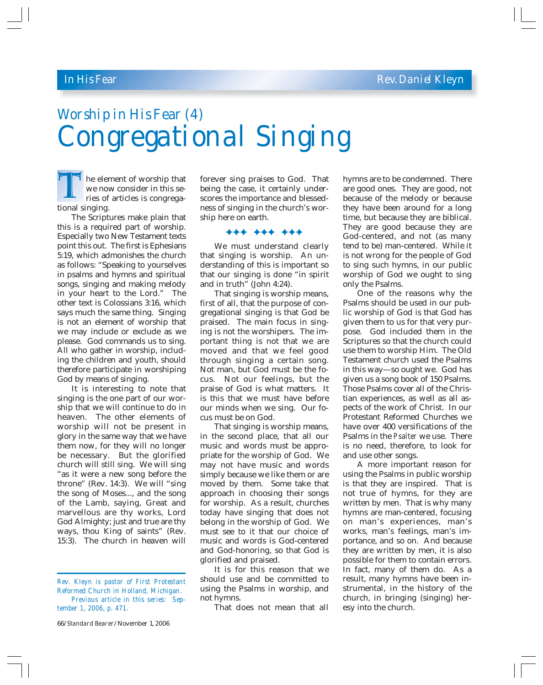## *In His Fear Rev. Daniel Kleyn*

# *Worship in His Fear (4) Congregational Singing*

he element of worship that we now consider in this series of articles is congrega-The eler<br>
we now<br>
ries of<br>
tional singing.

The Scriptures make plain that this is a required part of worship. Especially two New Testament texts point this out. The first is Ephesians 5:19, which admonishes the church as follows: "Speaking to yourselves in psalms and hymns and spiritual songs, singing and making melody in your heart to the Lord." The other text is Colossians 3:16, which says much the same thing. Singing is not an element of worship that we may include or exclude as we please. God commands us to sing. All who gather in worship, including the children and youth, should therefore participate in worshiping God by means of singing.

It is interesting to note that singing is the one part of our worship that we will continue to do in heaven. The other elements of worship will not be present in glory in the same way that we have them now, for they will no longer be necessary. But the glorified church will still sing. We will sing "as it were a new song before the throne" (Rev. 14:3). We will "sing the song of Moses..., and the song of the Lamb, saying, Great and marvellous are thy works, Lord God Almighty; just and true are thy ways, thou King of saints" (Rev. 15:3). The church in heaven will

66/*Standard Bearer*/November 1, 2006

forever sing praises to God. That being the case, it certainly underscores the importance and blessedness of singing in the church's worship here on earth.

#### )))))))))

We must understand clearly that singing is worship. An understanding of this is important so that our singing is done "in spirit and in truth" (John 4:24).

That singing is worship means, first of all, that the purpose of congregational singing is that God be praised. The main focus in singing is not the worshipers. The important thing is not that we are moved and that we feel good through singing a certain song. Not man, but God must be the focus. Not our feelings, but the praise of God is what matters. It is this that we must have before our minds when we sing. Our focus must be on God.

That singing is worship means, in the second place, that all our music and words must be appropriate for the worship of God. We may not have music and words simply because we like them or are moved by them. Some take that approach in choosing their songs for worship. As a result, churches today have singing that does not belong in the worship of God. We must see to it that our choice of music and words is God-centered and God-honoring, so that God is glorified and praised.

It is for this reason that we should use and be committed to using the Psalms in worship, and not hymns.

That does not mean that all

hymns are to be condemned. There are good ones. They are good, not because of the melody or because they have been around for a long time, but because they are biblical. They are good because they are God-centered, and not (as many tend to be) man-centered. While it is not wrong for the people of God to sing such hymns, in our public worship of God we ought to sing only the Psalms.

One of the reasons why the Psalms should be used in our public worship of God is that God has given them to us for that very purpose. God included them in the Scriptures so that the church could use them to worship Him. The Old Testament church used the Psalms in this way—so ought we. God has given us a song book of 150 Psalms. Those Psalms cover all of the Christian experiences, as well as all aspects of the work of Christ. In our Protestant Reformed Churches we have over 400 versifications of the Psalms in the *Psalter* we use. There is no need, therefore, to look for and use other songs.

A more important reason for using the Psalms in public worship is that they are inspired. That is not true of hymns, for they are written by men. That is why many hymns are man-centered, focusing on man's experiences, man's works, man's feelings, man's importance, and so on. And because they are written by men, it is also possible for them to contain errors. In fact, many of them do. As a result, many hymns have been instrumental, in the history of the church, in bringing (singing) heresy into the church.

*Rev. Kleyn is pastor of First Protestant Reformed Church in Holland, Michigan. Previous article in this series: September 1, 2006, p. 471.*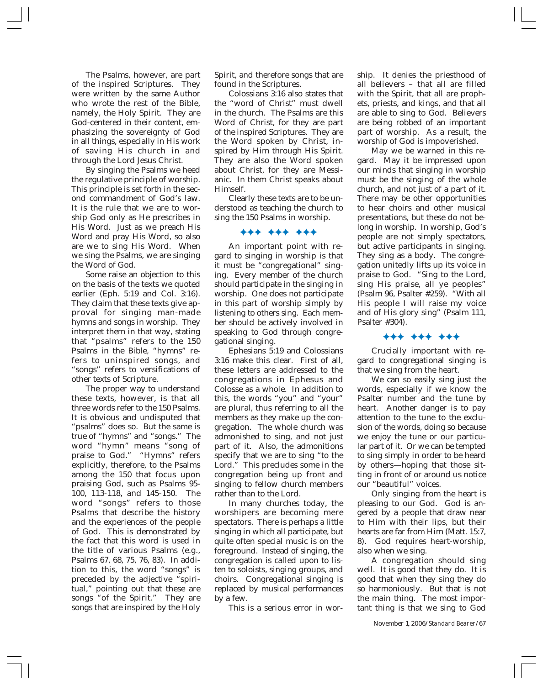The Psalms, however, are part of the inspired Scriptures. They were written by the same Author who wrote the rest of the Bible, namely, the Holy Spirit. They are God-centered in their content, emphasizing the sovereignty of God in all things, especially in His work of saving His church in and through the Lord Jesus Christ.

By singing the Psalms we heed the regulative principle of worship. This principle is set forth in the second commandment of God's law. It is the rule that we are to worship God only as He prescribes in His Word. Just as we preach His Word and pray His Word, so also are we to sing His Word. When we sing the Psalms, we are singing the Word of God.

Some raise an objection to this on the basis of the texts we quoted earlier (Eph. 5:19 and Col. 3:16). They claim that these texts give approval for singing man-made hymns and songs in worship. They interpret them in that way, stating that "psalms" refers to the 150 Psalms in the Bible, "hymns" refers to uninspired songs, and "songs" refers to versifications of other texts of Scripture.

The proper way to understand these texts, however, is that all three words refer to the 150 Psalms. It is obvious and undisputed that "psalms" does so. But the same is true of "hymns" and "songs." The word "hymn" means "song of praise to God." "Hymns" refers explicitly, therefore, to the Psalms among the 150 that focus upon praising God, such as Psalms 95- 100, 113-118, and 145-150. The word "songs" refers to those Psalms that describe the history and the experiences of the people of God. This is demonstrated by the fact that this word is used in the title of various Psalms (e.g., Psalms 67, 68, 75, 76, 83). In addition to this, the word "songs" is preceded by the adjective "spiritual," pointing out that these are songs "of the Spirit." They are songs that are inspired by the Holy

Spirit, and therefore songs that are found in the Scriptures.

Colossians 3:16 also states that the "word of Christ" must dwell in the church. The Psalms are this Word of Christ, for they are part of the inspired Scriptures. They are the Word spoken by Christ, inspired by Him through His Spirit. They are also the Word spoken about Christ, for they are Messianic. In them Christ speaks about Himself.

Clearly these texts are to be understood as teaching the church to sing the 150 Psalms in worship.

#### )))))))))

An important point with regard to singing in worship is that it must be "congregational" singing. Every member of the church should participate in the singing in worship. One does not participate in this part of worship simply by listening to others sing. Each member should be actively involved in speaking to God through congregational singing.

Ephesians 5:19 and Colossians 3:16 make this clear. First of all, these letters are addressed to the congregations in Ephesus and Colosse as a whole. In addition to this, the words "you" and "your" are plural, thus referring to all the members as they make up the congregation. The whole church was admonished to sing, and not just part of it. Also, the admonitions specify that we are to sing "to the Lord." This precludes some in the congregation being up front and singing to fellow church members rather than to the Lord.

In many churches today, the worshipers are becoming mere spectators. There is perhaps a little singing in which all participate, but quite often special music is on the foreground. Instead of singing, the congregation is called upon to listen to soloists, singing groups, and choirs. Congregational singing is replaced by musical performances by a few.

This is a serious error in wor-

ship. It denies the priesthood of all believers – that all are filled with the Spirit, that all are prophets, priests, and kings, and that all are able to sing to God. Believers are being robbed of an important part of worship. As a result, the worship of God is impoverished.

May we be warned in this regard. May it be impressed upon our minds that singing in worship must be the singing of the whole church, and not just of a part of it. There may be other opportunities to hear choirs and other musical presentations, but these do not belong in worship. In worship, God's people are not simply spectators, but active participants in singing. They sing as a body. The congregation unitedly lifts up its voice in praise to God. "Sing to the Lord, sing His praise, all ye peoples" (Psalm 96, Psalter #259). "With all His people I will raise my voice and of His glory sing" (Psalm 111, Psalter #304).

#### )))))))))

Crucially important with regard to congregational singing is that we sing from the heart.

We can so easily sing just the words, especially if we know the Psalter number and the tune by heart. Another danger is to pay attention to the tune to the exclusion of the words, doing so because we enjoy the tune or our particular part of it. Or we can be tempted to sing simply in order to be heard by others—hoping that those sitting in front of or around us notice our "beautiful" voices.

Only singing from the heart is pleasing to our God. God is angered by a people that draw near to Him with their lips, but their hearts are far from Him (Matt. 15:7, 8). God requires heart-worship, also when we sing.

A congregation should sing well. It is good that they do. It is good that when they sing they do so harmoniously. But that is not the main thing. The most important thing is that we sing to God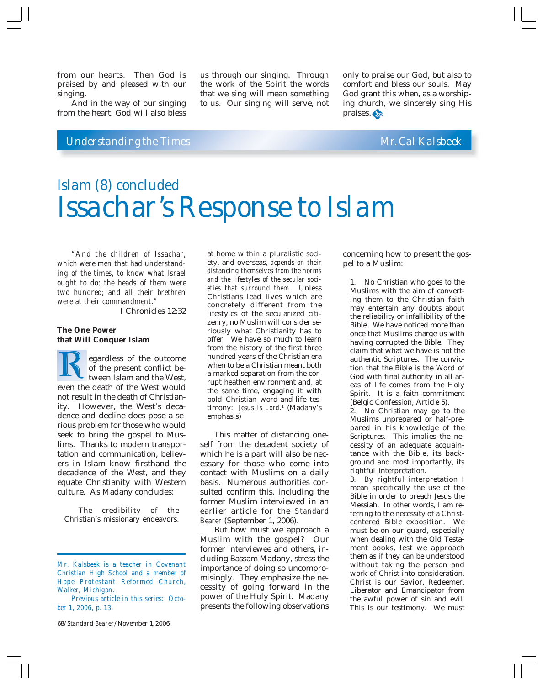from our hearts. Then God is praised by and pleased with our singing.

And in the way of our singing from the heart, God will also bless

## *Understanding the Times Mr. Cal Kalsbeek*

us through our singing. Through the work of the Spirit the words that we sing will mean something to us. Our singing will serve, not

only to praise our God, but also to comfort and bless our souls. May God grant this when, as a worshiping church, we sincerely sing His praises.

# *Islam (8) concluded Issachar's Response to Islam*

*"And the children of Issachar, which were men that had understanding of the times, to know what Israel ought to do; the heads of them were two hundred; and all their brethren were at their commandment."*

I Chronicles 12:32

#### **The One Power that Will Conquer Islam**

egardless of the outcome of the present conflict between Islam and the West, egardless of the outcome<br>of the present conflict be-<br>tween Islam and the West,<br>even the death of the West would not result in the death of Christianity. However, the West's decadence and decline does pose a serious problem for those who would seek to bring the gospel to Muslims. Thanks to modern transportation and communication, believers in Islam know firsthand the decadence of the West, and they equate Christianity with Western culture. As Madany concludes:

The credibility of the Christian's missionary endeavors,

68/*Standard Bearer*/November 1, 2006

at home within a pluralistic society, and overseas, *depends on their distancing themselves from the norms and the lifestyles of the secular societies that surround them.* Unless Christians lead lives which are concretely different from the lifestyles of the secularized citizenry, no Muslim will consider seriously what Christianity has to offer. We have so much to learn from the history of the first three hundred years of the Christian era when to be a Christian meant both a marked separation from the corrupt heathen environment and, at the same time, engaging it with bold Christian word-and-life testimony: *Jesus is Lord*. 1 (Madany's emphasis)

This matter of distancing oneself from the decadent society of which he is a part will also be necessary for those who come into contact with Muslims on a daily basis. Numerous authorities consulted confirm this, including the former Muslim interviewed in an earlier article for the *Standard Bearer* (September 1, 2006).

But how must we approach a Muslim with the gospel? Our former interviewee and others, including Bassam Madany, stress the importance of doing so uncompromisingly. They emphasize the necessity of going forward in the power of the Holy Spirit. Madany presents the following observations concerning how to present the gospel to a Muslim:

1. No Christian who goes to the Muslims with the aim of converting them to the Christian faith may entertain any doubts about the reliability or infallibility of the Bible. We have noticed more than once that Muslims charge us with having corrupted the Bible. They claim that what we have is not the authentic Scriptures. The conviction that the Bible is the Word of God with final authority in all areas of life comes from the Holy Spirit. It is a faith commitment (Belgic Confession, Article 5).

2. No Christian may go to the Muslims unprepared or half-prepared in his knowledge of the Scriptures. This implies the necessity of an adequate acquaintance with the Bible, its background and most importantly, its rightful interpretation.

3. By rightful interpretation I mean specifically the use of the Bible in order to preach Jesus the Messiah. In other words, I am referring to the necessity of a Christcentered Bible exposition. We must be on our guard, especially when dealing with the Old Testament books, lest we approach them as if they can be understood without taking the person and work of Christ into consideration. Christ is our Savior, Redeemer, Liberator and Emancipator from the awful power of sin and evil. This is our testimony. We must

*Mr. Kalsbeek is a teacher in Covenant Christian High School and a member of Hope Protestant Reformed Church, Walker, Michigan. Previous article in this series: Octo-*

*ber 1, 2006, p. 13.*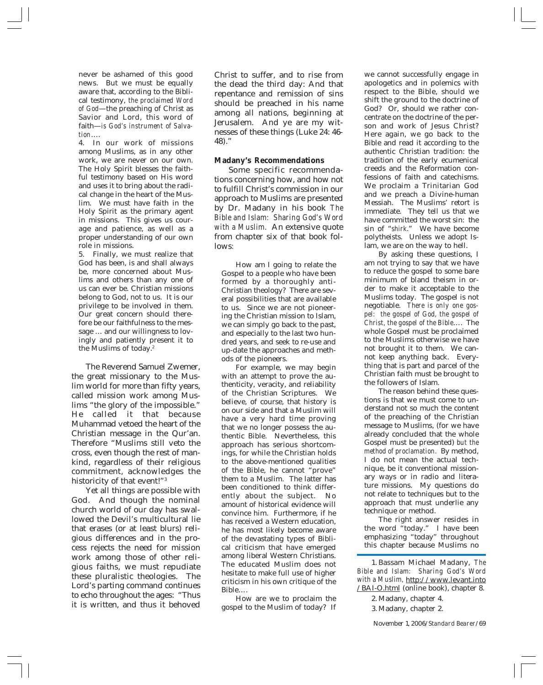never be ashamed of this good news. But we must be equally aware that, according to the Biblical testimony, *the proclaimed Word of God*—the preaching of Christ as Savior and Lord, this word of faith—*is God's instrument of Salvation*….

4. In our work of missions among Muslims, as in any other work, we are never on our own. The Holy Spirit blesses the faithful testimony based on His word and uses it to bring about the radical change in the heart of the Muslim. We must have faith in the Holy Spirit as the primary agent in missions. This gives us courage and patience, as well as a proper understanding of our own role in missions.

5. Finally, we must realize that God has been, is and shall always be, more concerned about Muslims and others than any one of us can ever be. Christian missions belong to God, not to us. It is our privilege to be involved in them. Our great concern should therefore be our faithfulness to the message … and our willingness to lovingly and patiently present it to the Muslims of today.2

The Reverend Samuel Zwemer, the great missionary to the Muslim world for more than fifty years, called mission work among Muslims "the glory of the impossible." He called it that because Muhammad vetoed the heart of the Christian message in the Qur'an. Therefore "Muslims still veto the cross, even though the rest of mankind, regardless of their religious commitment, acknowledges the historicity of that event!"<sup>3</sup>

Yet all things are possible with God. And though the nominal church world of our day has swallowed the Devil's multicultural lie that erases (or at least blurs) religious differences and in the process rejects the need for mission work among those of other religious faiths, we must repudiate these pluralistic theologies. The Lord's parting command continues to echo throughout the ages: "Thus it is written, and thus it behoved

Christ to suffer, and to rise from the dead the third day: And that repentance and remission of sins should be preached in his name among all nations, beginning at Jerusalem. And ye are my witnesses of these things (Luke 24: 46- 48)."

#### **Madany's Recommendations**

Some specific recommendations concerning how, and how not to fulfill Christ's commission in our approach to Muslims are presented by Dr. Madany in his book *The Bible and Islam: Sharing God's Word with a Muslim.* An extensive quote from chapter six of that book follows*:*

How am I going to relate the Gospel to a people who have been formed by a thoroughly anti-Christian theology? There are several possibilities that are available to us. Since we are not pioneering the Christian mission to Islam, we can simply go back to the past, and especially to the last two hundred years, and seek to re-use and up-date the approaches and methods of the pioneers.

For example, we may begin with an attempt to prove the authenticity, veracity, and reliability of the Christian Scriptures. We believe, of course, that history is on our side and that a Muslim will have a very hard time proving that we no longer possess the authentic Bible. Nevertheless, this approach has serious shortcomings, for while the Christian holds to the above-mentioned qualities of the Bible, he cannot "prove" them to a Muslim. The latter has been conditioned to think differently about the subject. No amount of historical evidence will convince him. Furthermore, if he has received a Western education, he has most likely become aware of the devastating types of Biblical criticism that have emerged among liberal Western Christians. The educated Muslim does not hesitate to make full use of higher criticism in his own critique of the Bible….

How are we to proclaim the gospel to the Muslim of today? If we cannot successfully engage in apologetics and in polemics with respect to the Bible, should we shift the ground to the doctrine of God? Or, should we rather concentrate on the doctrine of the person and work of Jesus Christ? Here again, we go back to the Bible and read it according to the authentic Christian tradition: the tradition of the early ecumenical creeds and the Reformation confessions of faith and catechisms. We proclaim a Trinitarian God and we preach a Divine-human Messiah. The Muslims' retort is immediate. They tell us that we have committed the worst sin: the sin of "*shirk*." We have become polytheists. Unless we adopt Islam, we are on the way to hell.

By asking these questions, I am not trying to say that we have to reduce the gospel to some bare minimum of bland theism in order to make it acceptable to the Muslims today. The gospel is not negotiable. *There is only one gospel: the gospel of God, the gospel of Christ, the gospel of the Bible*…. The whole Gospel must be proclaimed to the Muslims otherwise we have not brought it to them. We cannot keep anything back. Everything that is part and parcel of the Christian faith must be brought to the followers of Islam.

The reason behind these questions is that we must come to understand not so much the content of the preaching of the Christian message to Muslims, (for we have already concluded that the whole Gospel must be presented) *but the method of proclamation.* By method, I do not mean the actual technique, be it conventional missionary ways or in radio and literature missions. My questions do not relate to techniques but to the approach that must underlie any technique or method.

The right answer resides in the word "today." I have been emphasizing "today" throughout this chapter because Muslims no

2. Madany, chapter 4. 3. Madany, chapter 2.

<sup>1.</sup> Bassam Michael Madany, *The Bible and Islam: Sharing God's Word with a Muslim,* http://www.levant.into /BAI-O.html (online book), chapter 8.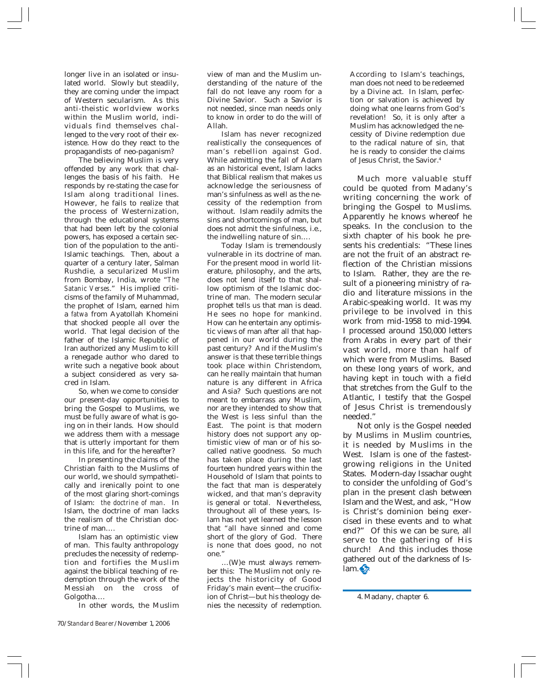longer live in an isolated or insulated world. Slowly but steadily, they are coming under the impact of Western secularism. As this anti-theistic worldview works within the Muslim world, individuals find themselves challenged to the very root of their existence. How do they react to the propagandists of neo-paganism?

The believing Muslim is very offended by any work that challenges the basis of his faith. He responds by re-stating the case for Islam along traditional lines. However, he fails to realize that the process of Westernization, through the educational systems that had been left by the colonial powers, has exposed a certain section of the population to the anti-Islamic teachings. Then, about a quarter of a century later, Salman Rushdie, a secularized Muslim from Bombay, India, wrote "*The Satanic Verses*." His implied criticisms of the family of Muhammad, the prophet of Islam, earned him a *fatwa* from Ayatollah Khomeini that shocked people all over the world. That legal decision of the father of the Islamic Republic of Iran authorized any Muslim to kill a renegade author who dared to write such a negative book about a subject considered as very sacred in Islam.

So, when we come to consider our present-day opportunities to bring the Gospel to Muslims, we must be fully aware of what is going on in their lands. How should we address them with a message that is utterly important for them in this life, and for the hereafter?

In presenting the claims of the Christian faith to the Muslims of our world, we should sympathetically and irenically point to one of the most glaring short-comings of Islam: *the doctrine of man*. In Islam, the doctrine of man lacks the realism of the Christian doctrine of man….

Islam has an optimistic view of man. This faulty anthropology precludes the necessity of redemption and fortifies the Muslim against the biblical teaching of redemption through the work of the Messiah on the cross of Golgotha….

In other words, the Muslim

view of man and the Muslim understanding of the nature of the fall do not leave any room for a Divine Savior. Such a Savior is not needed, since man needs only to know in order to do the will of Allah.

Islam has never recognized realistically the consequences of man's rebellion against God. While admitting the fall of Adam as an historical event, Islam lacks that Biblical realism that makes us acknowledge the seriousness of man's sinfulness as well as the necessity of the redemption from without. Islam readily admits the sins and shortcomings of man, but does not admit the sinfulness, i.e., the indwelling nature of sin….

Today Islam is tremendously vulnerable in its doctrine of man. For the present mood in world literature, philosophy, and the arts, does not lend itself to that shallow optimism of the Islamic doctrine of man. The modern secular prophet tells us that man is dead. He sees no hope for mankind. How can he entertain any optimistic views of man after all that happened in our world during the past century? And if the Muslim's answer is that these terrible things took place within Christendom, can he really maintain that human nature is any different in Africa and Asia? Such questions are not meant to embarrass any Muslim, nor are they intended to show that the West is less sinful than the East. The point is that modern history does not support any optimistic view of man or of his socalled native goodness. So much has taken place during the last fourteen hundred years within the Household of Islam that points to the fact that man is desperately wicked, and that man's depravity is general or total. Nevertheless, throughout all of these years, Islam has not yet learned the lesson that "all have sinned and come short of the glory of God. There is none that does good, no not one."

…(W)e must always remember this: The Muslim not only rejects the historicity of Good Friday's main event—the crucifixion of Christ—but his theology denies the necessity of redemption. According to Islam's teachings, man does not need to be redeemed by a Divine act. In Islam, perfection or salvation is achieved by doing what one learns from God's revelation! So, it is only after a Muslim has acknowledged the necessity of Divine redemption due to the radical nature of sin, that he is ready to consider the claims of Jesus Christ, the Savior.4

Much more valuable stuff could be quoted from Madany's writing concerning the work of bringing the Gospel to Muslims. Apparently he knows whereof he speaks. In the conclusion to the sixth chapter of his book he presents his credentials: "These lines are not the fruit of an abstract reflection of the Christian missions to Islam. Rather, they are the result of a pioneering ministry of radio and literature missions in the Arabic-speaking world. It was my privilege to be involved in this work from mid-1958 to mid-1994. I processed around 150,000 letters from Arabs in every part of their vast world, more than half of which were from Muslims. Based on these long years of work, and having kept in touch with a field that stretches from the Gulf to the Atlantic, I testify that the Gospel of Jesus Christ is tremendously needed."

Not only is the Gospel needed by Muslims in Muslim countries, it is needed by Muslims in the West. Islam is one of the fastestgrowing religions in the United States. Modern-day Issachar ought to consider the unfolding of God's plan in the present clash between Islam and the West, and ask, "How is Christ's dominion being exercised in these events and to what end?" Of this we can be sure, all serve to the gathering of His church! And this includes those gathered out of the darkness of Is $lam.$ 

<sup>4.</sup> Madany, chapter 6.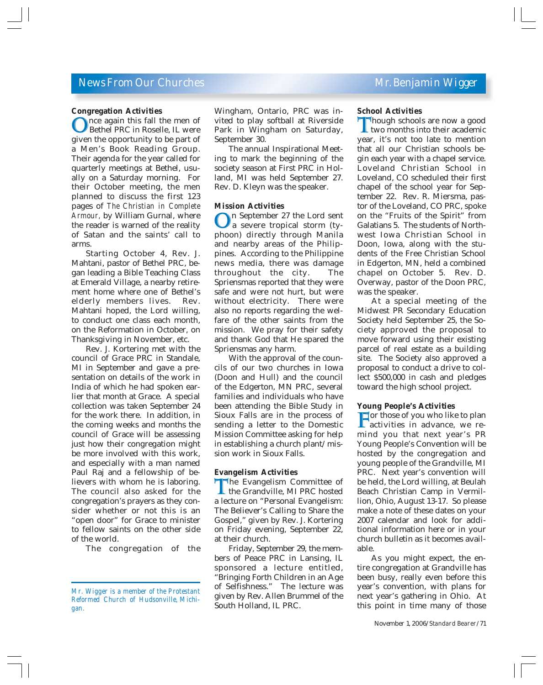#### *News From Our Churches Mr. Benjamin Wigger*

#### **Congregation Activities**

Once again this fall the men of<br>Bethel PRC in Roselle, IL were<br>given the opportunity to be part of Bethel PRC in Roselle, IL were given the opportunity to be part of a Men's Book Reading Group. Their agenda for the year called for quarterly meetings at Bethel, usually on a Saturday morning. For their October meeting, the men planned to discuss the first 123 pages of *The Christian in Complete Armour,* by William Gurnal, where the reader is warned of the reality of Satan and the saints' call to arms.

Starting October 4, Rev. J. Mahtani, pastor of Bethel PRC, began leading a Bible Teaching Class at Emerald Village, a nearby retirement home where one of Bethel's elderly members lives. Rev. Mahtani hoped, the Lord willing, to conduct one class each month, on the Reformation in October, on Thanksgiving in November, etc.

Rev. J. Kortering met with the council of Grace PRC in Standale, MI in September and gave a presentation on details of the work in India of which he had spoken earlier that month at Grace. A special collection was taken September 24 for the work there. In addition, in the coming weeks and months the council of Grace will be assessing just how their congregation might be more involved with this work, and especially with a man named Paul Raj and a fellowship of believers with whom he is laboring. The council also asked for the congregation's prayers as they consider whether or not this is an "open door" for Grace to minister to fellow saints on the other side of the world.

The congregation of the

Wingham, Ontario, PRC was invited to play softball at Riverside Park in Wingham on Saturday, September 30.

The annual Inspirational Meeting to mark the beginning of the society season at First PRC in Holland, MI was held September 27. Rev. D. Kleyn was the speaker.

#### **Mission Activities**

 $\bigcirc$  a September 27 the Lord sent<br>a severe tropical storm (ty-<br>phoon) directly through Manila a severe tropical storm (typhoon) directly through Manila and nearby areas of the Philippines. According to the Philippine news media, there was damage throughout the city. The Spriensmas reported that they were safe and were not hurt, but were without electricity. There were also no reports regarding the welfare of the other saints from the mission. We pray for their safety and thank God that He spared the Spriensmas any harm.

With the approval of the councils of our two churches in Iowa (Doon and Hull) and the council of the Edgerton, MN PRC, several families and individuals who have been attending the Bible Study in Sioux Falls are in the process of sending a letter to the Domestic Mission Committee asking for help in establishing a church plant/mission work in Sioux Falls.

#### **Evangelism Activities**

The Evangelism Committee of<br>the Grandville, MI PRC hosted<br>a lecture on "Personal Evangelism" the Grandville, MI PRC hosted a lecture on "Personal Evangelism: The Believer's Calling to Share the Gospel," given by Rev. J. Kortering on Friday evening, September 22, at their church.

Friday, September 29, the members of Peace PRC in Lansing, IL sponsored a lecture entitled, "Bringing Forth Children in an Age of Selfishness." The lecture was given by Rev. Allen Brummel of the South Holland, IL PRC.

#### **School Activities**

Though schools are now a good<br>two months into their academic<br>year it's not too late to mention two months into their academic year, it's not too late to mention that all our Christian schools begin each year with a chapel service. Loveland Christian School in Loveland, CO scheduled their first chapel of the school year for September 22. Rev. R. Miersma, pastor of the Loveland, CO PRC, spoke on the "Fruits of the Spirit" from Galatians 5. The students of Northwest Iowa Christian School in Doon, Iowa, along with the students of the Free Christian School in Edgerton, MN, held a combined chapel on October 5. Rev. D. Overway, pastor of the Doon PRC, was the speaker.

At a special meeting of the Midwest PR Secondary Education Society held September 25, the Society approved the proposal to move forward using their existing parcel of real estate as a building site. The Society also approved a proposal to conduct a drive to collect \$500,000 in cash and pledges toward the high school project.

#### **Young People's Activities**

 $\Gamma$  for those of you who like to plan<br>activities in advance, we re-<br>mind you that next year's PR activities in advance, we remind you that next year's PR Young People's Convention will be hosted by the congregation and young people of the Grandville, MI PRC. Next year's convention will be held, the Lord willing, at Beulah Beach Christian Camp in Vermillion, Ohio, August 13-17. So please make a note of these dates on your 2007 calendar and look for additional information here or in your church bulletin as it becomes available.

As you might expect, the entire congregation at Grandville has been busy, really even before this year's convention, with plans for next year's gathering in Ohio. At this point in time many of those

*Mr. Wigger is a member of the Protestant Reformed Church of Hudsonville, Michigan.*